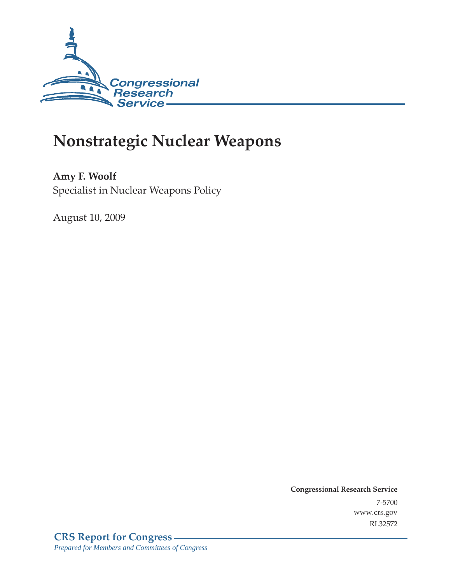

# **Nonstrategic Nuclear Weapons**

**Amy F. Woolf**  Specialist in Nuclear Weapons Policy

August 10, 2009

**Congressional Research Service** 7-5700 www.crs.gov RL32572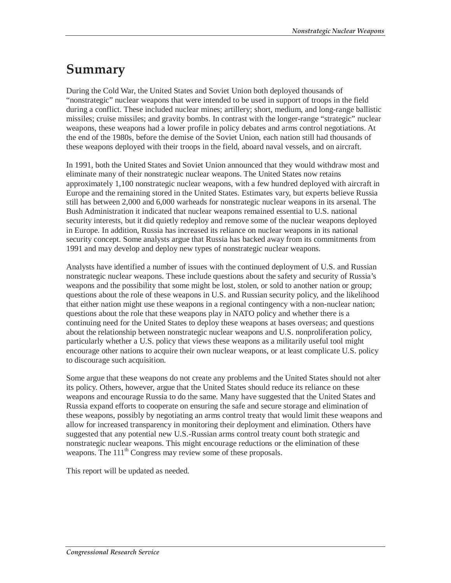# **Summary**

During the Cold War, the United States and Soviet Union both deployed thousands of "nonstrategic" nuclear weapons that were intended to be used in support of troops in the field during a conflict. These included nuclear mines; artillery; short, medium, and long-range ballistic missiles; cruise missiles; and gravity bombs. In contrast with the longer-range "strategic" nuclear weapons, these weapons had a lower profile in policy debates and arms control negotiations. At the end of the 1980s, before the demise of the Soviet Union, each nation still had thousands of these weapons deployed with their troops in the field, aboard naval vessels, and on aircraft.

In 1991, both the United States and Soviet Union announced that they would withdraw most and eliminate many of their nonstrategic nuclear weapons. The United States now retains approximately 1,100 nonstrategic nuclear weapons, with a few hundred deployed with aircraft in Europe and the remaining stored in the United States. Estimates vary, but experts believe Russia still has between 2,000 and 6,000 warheads for nonstrategic nuclear weapons in its arsenal. The Bush Administration it indicated that nuclear weapons remained essential to U.S. national security interests, but it did quietly redeploy and remove some of the nuclear weapons deployed in Europe. In addition, Russia has increased its reliance on nuclear weapons in its national security concept. Some analysts argue that Russia has backed away from its commitments from 1991 and may develop and deploy new types of nonstrategic nuclear weapons.

Analysts have identified a number of issues with the continued deployment of U.S. and Russian nonstrategic nuclear weapons. These include questions about the safety and security of Russia's weapons and the possibility that some might be lost, stolen, or sold to another nation or group; questions about the role of these weapons in U.S. and Russian security policy, and the likelihood that either nation might use these weapons in a regional contingency with a non-nuclear nation; questions about the role that these weapons play in NATO policy and whether there is a continuing need for the United States to deploy these weapons at bases overseas; and questions about the relationship between nonstrategic nuclear weapons and U.S. nonproliferation policy, particularly whether a U.S. policy that views these weapons as a militarily useful tool might encourage other nations to acquire their own nuclear weapons, or at least complicate U.S. policy to discourage such acquisition.

Some argue that these weapons do not create any problems and the United States should not alter its policy. Others, however, argue that the United States should reduce its reliance on these weapons and encourage Russia to do the same. Many have suggested that the United States and Russia expand efforts to cooperate on ensuring the safe and secure storage and elimination of these weapons, possibly by negotiating an arms control treaty that would limit these weapons and allow for increased transparency in monitoring their deployment and elimination. Others have suggested that any potential new U.S.-Russian arms control treaty count both strategic and nonstrategic nuclear weapons. This might encourage reductions or the elimination of these weapons. The 111<sup>th</sup> Congress may review some of these proposals.

This report will be updated as needed.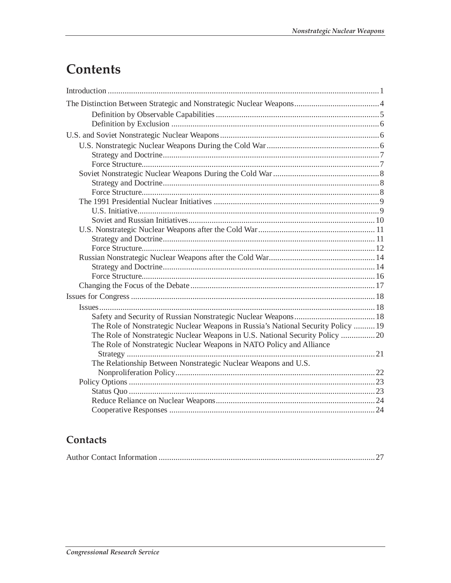# **Contents**

| The Role of Nonstrategic Nuclear Weapons in Russia's National Security Policy  19 |  |
|-----------------------------------------------------------------------------------|--|
| The Role of Nonstrategic Nuclear Weapons in U.S. National Security Policy 20      |  |
| The Role of Nonstrategic Nuclear Weapons in NATO Policy and Alliance              |  |
|                                                                                   |  |
| The Relationship Between Nonstrategic Nuclear Weapons and U.S.                    |  |
|                                                                                   |  |
|                                                                                   |  |
|                                                                                   |  |
|                                                                                   |  |
|                                                                                   |  |

# Contacts

|--|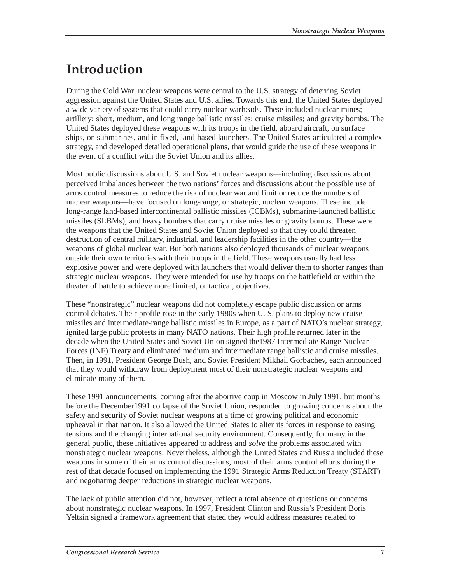# **Introduction**

During the Cold War, nuclear weapons were central to the U.S. strategy of deterring Soviet aggression against the United States and U.S. allies. Towards this end, the United States deployed a wide variety of systems that could carry nuclear warheads. These included nuclear mines; artillery; short, medium, and long range ballistic missiles; cruise missiles; and gravity bombs. The United States deployed these weapons with its troops in the field, aboard aircraft, on surface ships, on submarines, and in fixed, land-based launchers. The United States articulated a complex strategy, and developed detailed operational plans, that would guide the use of these weapons in the event of a conflict with the Soviet Union and its allies.

Most public discussions about U.S. and Soviet nuclear weapons—including discussions about perceived imbalances between the two nations' forces and discussions about the possible use of arms control measures to reduce the risk of nuclear war and limit or reduce the numbers of nuclear weapons—have focused on long-range, or strategic, nuclear weapons. These include long-range land-based intercontinental ballistic missiles (ICBMs), submarine-launched ballistic missiles (SLBMs), and heavy bombers that carry cruise missiles or gravity bombs. These were the weapons that the United States and Soviet Union deployed so that they could threaten destruction of central military, industrial, and leadership facilities in the other country—the weapons of global nuclear war. But both nations also deployed thousands of nuclear weapons outside their own territories with their troops in the field. These weapons usually had less explosive power and were deployed with launchers that would deliver them to shorter ranges than strategic nuclear weapons. They were intended for use by troops on the battlefield or within the theater of battle to achieve more limited, or tactical, objectives.

These "nonstrategic" nuclear weapons did not completely escape public discussion or arms control debates. Their profile rose in the early 1980s when U. S. plans to deploy new cruise missiles and intermediate-range ballistic missiles in Europe, as a part of NATO's nuclear strategy, ignited large public protests in many NATO nations. Their high profile returned later in the decade when the United States and Soviet Union signed the1987 Intermediate Range Nuclear Forces (INF) Treaty and eliminated medium and intermediate range ballistic and cruise missiles. Then, in 1991, President George Bush, and Soviet President Mikhail Gorbachev, each announced that they would withdraw from deployment most of their nonstrategic nuclear weapons and eliminate many of them.

These 1991 announcements, coming after the abortive coup in Moscow in July 1991, but months before the December1991 collapse of the Soviet Union, responded to growing concerns about the safety and security of Soviet nuclear weapons at a time of growing political and economic upheaval in that nation. It also allowed the United States to alter its forces in response to easing tensions and the changing international security environment. Consequently, for many in the general public, these initiatives appeared to address and *solve* the problems associated with nonstrategic nuclear weapons. Nevertheless, although the United States and Russia included these weapons in some of their arms control discussions, most of their arms control efforts during the rest of that decade focused on implementing the 1991 Strategic Arms Reduction Treaty (START) and negotiating deeper reductions in strategic nuclear weapons.

The lack of public attention did not, however, reflect a total absence of questions or concerns about nonstrategic nuclear weapons. In 1997, President Clinton and Russia's President Boris Yeltsin signed a framework agreement that stated they would address measures related to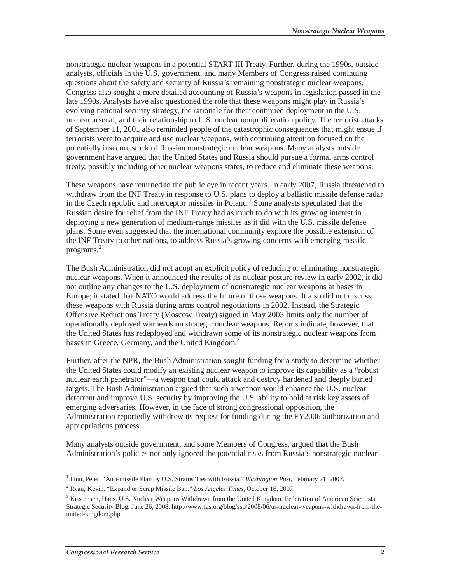nonstrategic nuclear weapons in a potential START III Treaty. Further, during the 1990s, outside analysts, officials in the U.S. government, and many Members of Congress raised continuing questions about the safety and security of Russia's remaining nonstrategic nuclear weapons. Congress also sought a more detailed accounting of Russia's weapons in legislation passed in the late 1990s. Analysts have also questioned the role that these weapons might play in Russia's evolving national security strategy, the rationale for their continued deployment in the U.S. nuclear arsenal, and their relationship to U.S. nuclear nonproliferation policy. The terrorist attacks of September 11, 2001 also reminded people of the catastrophic consequences that might ensue if terrorists were to acquire and use nuclear weapons, with continuing attention focused on the potentially insecure stock of Russian nonstrategic nuclear weapons. Many analysts outside government have argued that the United States and Russia should pursue a formal arms control treaty, possibly including other nuclear weapons states, to reduce and eliminate these weapons.

These weapons have returned to the public eye in recent years. In early 2007, Russia threatened to withdraw from the INF Treaty in response to U.S. plans to deploy a ballistic missile defense radar in the Czech republic and interceptor missiles in Poland.<sup>1</sup> Some analysts speculated that the Russian desire for relief from the INF Treaty had as much to do with its growing interest in deploying a new generation of medium-range missiles as it did with the U.S. missile defense plans. Some even suggested that the international community explore the possible extension of the INF Treaty to other nations, to address Russia's growing concerns with emerging missile programs.<sup>2</sup>

The Bush Administration did not adopt an explicit policy of reducing or eliminating nonstrategic nuclear weapons. When it announced the results of its nuclear posture review in early 2002, it did not outline any changes to the U.S. deployment of nonstrategic nuclear weapons at bases in Europe; it stated that NATO would address the future of those weapons. It also did not discuss these weapons with Russia during arms control negotiations in 2002. Instead, the Strategic Offensive Reductions Treaty (Moscow Treaty) signed in May 2003 limits only the number of operationally deployed warheads on strategic nuclear weapons. Reports indicate, however, that the United States has redeployed and withdrawn some of its nonstrategic nuclear weapons from bases in Greece, Germany, and the United Kingdom.<sup>3</sup>

Further, after the NPR, the Bush Administration sought funding for a study to determine whether the United States could modify an existing nuclear weapon to improve its capability as a "robust nuclear earth penetrator"—a weapon that could attack and destroy hardened and deeply buried targets. The Bush Administration argued that such a weapon would enhance the U.S. nuclear deterrent and improve U.S. security by improving the U.S. ability to hold at risk key assets of emerging adversaries. However, in the face of strong congressional opposition, the Administration reportedly withdrew its request for funding during the FY2006 authorization and appropriations process.

Many analysts outside government, and some Members of Congress, argued that the Bush Administration's policies not only ignored the potential risks from Russia's nonstrategic nuclear

<sup>1</sup> Finn, Peter. "Anti-missile Plan by U.S. Strains Ties with Russia." *Washington Post*, February 21, 2007.

<sup>2</sup> Ryan, Kevin. "Expand or Scrap Missile Ban." *Los Angeles Times*, October 16, 2007.

<sup>&</sup>lt;sup>3</sup> Kristensen, Hans. U.S. Nuclear Weapons Withdrawn from the United Kingdom. Federation of American Scientists, Strategic Security Blog. June 26, 2008. http://www.fas.org/blog/ssp/2008/06/us-nuclear-weapons-withdrawn-from-theunited-kingdom.php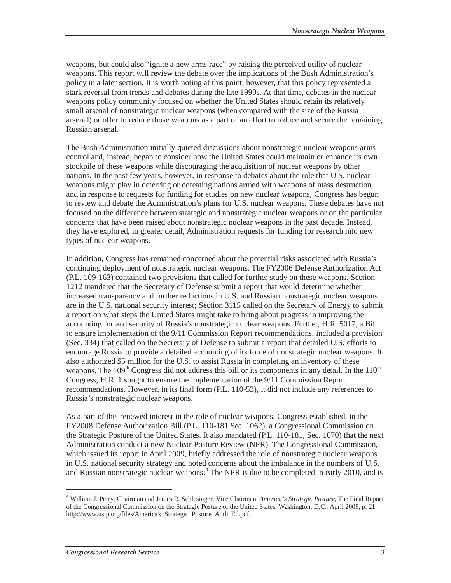weapons, but could also "ignite a new arms race" by raising the perceived utility of nuclear weapons. This report will review the debate over the implications of the Bush Administration's policy in a later section. It is worth noting at this point, however, that this policy represented a stark reversal from trends and debates during the late 1990s. At that time, debates in the nuclear weapons policy community focused on whether the United States should retain its relatively small arsenal of nonstrategic nuclear weapons (when compared with the size of the Russia arsenal) or offer to reduce those weapons as a part of an effort to reduce and secure the remaining Russian arsenal.

The Bush Administration initially quieted discussions about nonstrategic nuclear weapons arms control and, instead, began to consider how the United States could maintain or enhance its own stockpile of these weapons while discouraging the acquisition of nuclear weapons by other nations. In the past few years, however, in response to debates about the role that U.S. nuclear weapons might play in deterring or defeating nations armed with weapons of mass destruction, and in response to requests for funding for studies on new nuclear weapons, Congress has begun to review and debate the Administration's plans for U.S. nuclear weapons. These debates have not focused on the difference between strategic and nonstrategic nuclear weapons or on the particular concerns that have been raised about nonstrategic nuclear weapons in the past decade. Instead, they have explored, in greater detail, Administration requests for funding for research into new types of nuclear weapons.

In addition, Congress has remained concerned about the potential risks associated with Russia's continuing deployment of nonstrategic nuclear weapons. The FY2006 Defense Authorization Act (P.L. 109-163) contained two provisions that called for further study on these weapons. Section 1212 mandated that the Secretary of Defense submit a report that would determine whether increased transparency and further reductions in U.S. and Russian nonstrategic nuclear weapons are in the U.S. national security interest; Section 3115 called on the Secretary of Energy to submit a report on what steps the United States might take to bring about progress in improving the accounting for and security of Russia's nonstrategic nuclear weapons. Further, H.R. 5017, a Bill to ensure implementation of the 9/11 Commission Report recommendations, included a provision (Sec. 334) that called on the Secretary of Defense to submit a report that detailed U.S. efforts to encourage Russia to provide a detailed accounting of its force of nonstrategic nuclear weapons. It also authorized \$5 million for the U.S. to assist Russia in completing an inventory of these weapons. The  $109<sup>th</sup>$  Congress did not address this bill or its components in any detail. In the  $110<sup>th</sup>$ Congress, H.R. 1 sought to ensure the implementation of the 9/11 Commission Report recommendations. However, in its final form (P.L. 110-53), it did not include any references to Russia's nonstrategic nuclear weapons.

As a part of this renewed interest in the role of nuclear weapons, Congress established, in the FY2008 Defense Authorization Bill (P.L. 110-181 Sec. 1062), a Congressional Commission on the Strategic Posture of the United States. It also mandated (P.L. 110-181, Sec. 1070) that the next Administration conduct a new Nuclear Posture Review (NPR). The Congressional Commission, which issued its report in April 2009, briefly addressed the role of nonstrategic nuclear weapons in U.S. national security strategy and noted concerns about the imbalance in the numbers of U.S. and Russian nonstrategic nuclear weapons.<sup>4</sup> The NPR is due to be completed in early 2010, and is

<sup>4</sup> William J. Perry, Chairman and James R. Schlesinger, Vice Chairman, *America's Strategic Posture*, The Final Report of the Congressional Commission on the Strategic Posture of the United States, Washington, D.C., April 2009, p. 21. http://www.usip.org/files/America's\_Strategic\_Posture\_Auth\_Ed.pdf.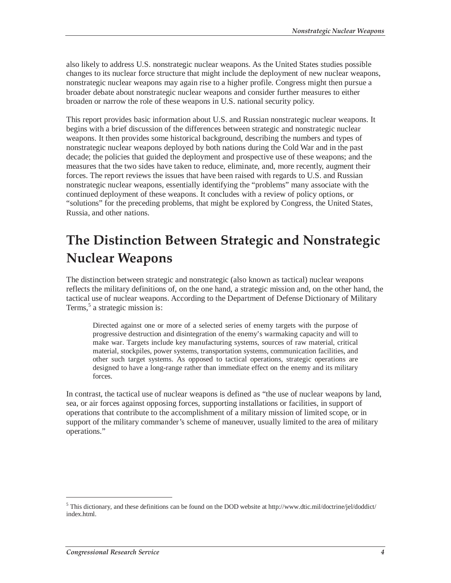also likely to address U.S. nonstrategic nuclear weapons. As the United States studies possible changes to its nuclear force structure that might include the deployment of new nuclear weapons, nonstrategic nuclear weapons may again rise to a higher profile. Congress might then pursue a broader debate about nonstrategic nuclear weapons and consider further measures to either broaden or narrow the role of these weapons in U.S. national security policy.

This report provides basic information about U.S. and Russian nonstrategic nuclear weapons. It begins with a brief discussion of the differences between strategic and nonstrategic nuclear weapons. It then provides some historical background, describing the numbers and types of nonstrategic nuclear weapons deployed by both nations during the Cold War and in the past decade; the policies that guided the deployment and prospective use of these weapons; and the measures that the two sides have taken to reduce, eliminate, and, more recently, augment their forces. The report reviews the issues that have been raised with regards to U.S. and Russian nonstrategic nuclear weapons, essentially identifying the "problems" many associate with the continued deployment of these weapons. It concludes with a review of policy options, or "solutions" for the preceding problems, that might be explored by Congress, the United States, Russia, and other nations.

# **The Distinction Between Strategic and Nonstrategic Nuclear Weapons**

The distinction between strategic and nonstrategic (also known as tactical) nuclear weapons reflects the military definitions of, on the one hand, a strategic mission and, on the other hand, the tactical use of nuclear weapons. According to the Department of Defense Dictionary of Military Terms,<sup>5</sup> a strategic mission is:

Directed against one or more of a selected series of enemy targets with the purpose of progressive destruction and disintegration of the enemy's warmaking capacity and will to make war. Targets include key manufacturing systems, sources of raw material, critical material, stockpiles, power systems, transportation systems, communication facilities, and other such target systems. As opposed to tactical operations, strategic operations are designed to have a long-range rather than immediate effect on the enemy and its military forces.

In contrast, the tactical use of nuclear weapons is defined as "the use of nuclear weapons by land, sea, or air forces against opposing forces, supporting installations or facilities, in support of operations that contribute to the accomplishment of a military mission of limited scope, or in support of the military commander's scheme of maneuver, usually limited to the area of military operations."

 $<sup>5</sup>$  This dictionary, and these definitions can be found on the DOD website at http://www.dtic.mil/doctrine/jel/doddict/</sup> index.html.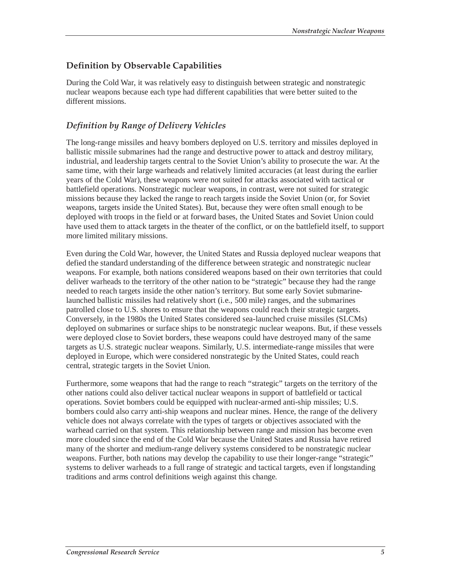# **Definition by Observable Capabilities**

During the Cold War, it was relatively easy to distinguish between strategic and nonstrategic nuclear weapons because each type had different capabilities that were better suited to the different missions.

## *Definition by Range of Delivery Vehicles*

The long-range missiles and heavy bombers deployed on U.S. territory and missiles deployed in ballistic missile submarines had the range and destructive power to attack and destroy military, industrial, and leadership targets central to the Soviet Union's ability to prosecute the war. At the same time, with their large warheads and relatively limited accuracies (at least during the earlier years of the Cold War), these weapons were not suited for attacks associated with tactical or battlefield operations. Nonstrategic nuclear weapons, in contrast, were not suited for strategic missions because they lacked the range to reach targets inside the Soviet Union (or, for Soviet weapons, targets inside the United States). But, because they were often small enough to be deployed with troops in the field or at forward bases, the United States and Soviet Union could have used them to attack targets in the theater of the conflict, or on the battlefield itself, to support more limited military missions.

Even during the Cold War, however, the United States and Russia deployed nuclear weapons that defied the standard understanding of the difference between strategic and nonstrategic nuclear weapons. For example, both nations considered weapons based on their own territories that could deliver warheads to the territory of the other nation to be "strategic" because they had the range needed to reach targets inside the other nation's territory. But some early Soviet submarinelaunched ballistic missiles had relatively short (i.e., 500 mile) ranges, and the submarines patrolled close to U.S. shores to ensure that the weapons could reach their strategic targets. Conversely, in the 1980s the United States considered sea-launched cruise missiles (SLCMs) deployed on submarines or surface ships to be nonstrategic nuclear weapons. But, if these vessels were deployed close to Soviet borders, these weapons could have destroyed many of the same targets as U.S. strategic nuclear weapons. Similarly, U.S. intermediate-range missiles that were deployed in Europe, which were considered nonstrategic by the United States, could reach central, strategic targets in the Soviet Union.

Furthermore, some weapons that had the range to reach "strategic" targets on the territory of the other nations could also deliver tactical nuclear weapons in support of battlefield or tactical operations. Soviet bombers could be equipped with nuclear-armed anti-ship missiles; U.S. bombers could also carry anti-ship weapons and nuclear mines. Hence, the range of the delivery vehicle does not always correlate with the types of targets or objectives associated with the warhead carried on that system. This relationship between range and mission has become even more clouded since the end of the Cold War because the United States and Russia have retired many of the shorter and medium-range delivery systems considered to be nonstrategic nuclear weapons. Further, both nations may develop the capability to use their longer-range "strategic" systems to deliver warheads to a full range of strategic and tactical targets, even if longstanding traditions and arms control definitions weigh against this change.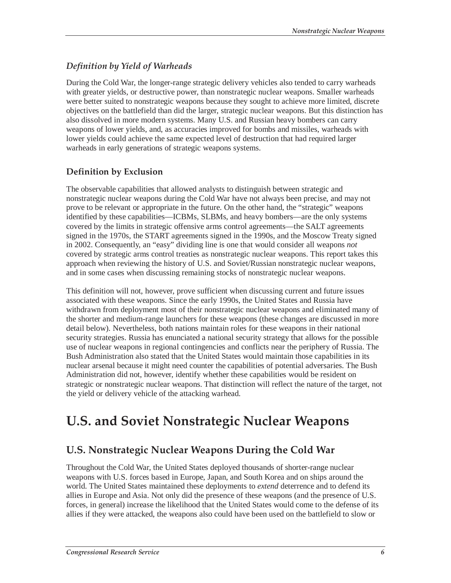# *Definition by Yield of Warheads*

During the Cold War, the longer-range strategic delivery vehicles also tended to carry warheads with greater yields, or destructive power, than nonstrategic nuclear weapons. Smaller warheads were better suited to nonstrategic weapons because they sought to achieve more limited, discrete objectives on the battlefield than did the larger, strategic nuclear weapons. But this distinction has also dissolved in more modern systems. Many U.S. and Russian heavy bombers can carry weapons of lower yields, and, as accuracies improved for bombs and missiles, warheads with lower yields could achieve the same expected level of destruction that had required larger warheads in early generations of strategic weapons systems.

# **Definition by Exclusion**

The observable capabilities that allowed analysts to distinguish between strategic and nonstrategic nuclear weapons during the Cold War have not always been precise, and may not prove to be relevant or appropriate in the future. On the other hand, the "strategic" weapons identified by these capabilities—ICBMs, SLBMs, and heavy bombers—are the only systems covered by the limits in strategic offensive arms control agreements—the SALT agreements signed in the 1970s, the START agreements signed in the 1990s, and the Moscow Treaty signed in 2002. Consequently, an "easy" dividing line is one that would consider all weapons *not* covered by strategic arms control treaties as nonstrategic nuclear weapons. This report takes this approach when reviewing the history of U.S. and Soviet/Russian nonstrategic nuclear weapons, and in some cases when discussing remaining stocks of nonstrategic nuclear weapons.

This definition will not, however, prove sufficient when discussing current and future issues associated with these weapons. Since the early 1990s, the United States and Russia have withdrawn from deployment most of their nonstrategic nuclear weapons and eliminated many of the shorter and medium-range launchers for these weapons (these changes are discussed in more detail below). Nevertheless, both nations maintain roles for these weapons in their national security strategies. Russia has enunciated a national security strategy that allows for the possible use of nuclear weapons in regional contingencies and conflicts near the periphery of Russia. The Bush Administration also stated that the United States would maintain those capabilities in its nuclear arsenal because it might need counter the capabilities of potential adversaries. The Bush Administration did not, however, identify whether these capabilities would be resident on strategic or nonstrategic nuclear weapons. That distinction will reflect the nature of the target, not the yield or delivery vehicle of the attacking warhead.

# **U.S. and Soviet Nonstrategic Nuclear Weapons**

# **U.S. Nonstrategic Nuclear Weapons During the Cold War**

Throughout the Cold War, the United States deployed thousands of shorter-range nuclear weapons with U.S. forces based in Europe, Japan, and South Korea and on ships around the world. The United States maintained these deployments to *extend* deterrence and to defend its allies in Europe and Asia. Not only did the presence of these weapons (and the presence of U.S. forces, in general) increase the likelihood that the United States would come to the defense of its allies if they were attacked, the weapons also could have been used on the battlefield to slow or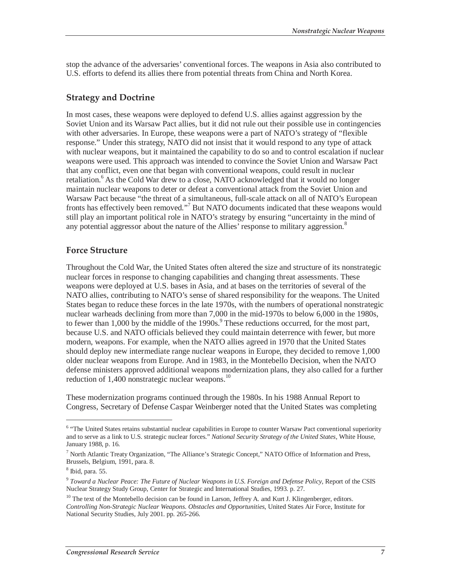stop the advance of the adversaries' conventional forces. The weapons in Asia also contributed to U.S. efforts to defend its allies there from potential threats from China and North Korea.

### **Strategy and Doctrine**

In most cases, these weapons were deployed to defend U.S. allies against aggression by the Soviet Union and its Warsaw Pact allies, but it did not rule out their possible use in contingencies with other adversaries. In Europe, these weapons were a part of NATO's strategy of "flexible response." Under this strategy, NATO did not insist that it would respond to any type of attack with nuclear weapons, but it maintained the capability to do so and to control escalation if nuclear weapons were used. This approach was intended to convince the Soviet Union and Warsaw Pact that any conflict, even one that began with conventional weapons, could result in nuclear retaliation.<sup>6</sup> As the Cold War drew to a close, NATO acknowledged that it would no longer maintain nuclear weapons to deter or defeat a conventional attack from the Soviet Union and Warsaw Pact because "the threat of a simultaneous, full-scale attack on all of NATO's European fronts has effectively been removed."<sup>7</sup> But NATO documents indicated that these weapons would still play an important political role in NATO's strategy by ensuring "uncertainty in the mind of any potential aggressor about the nature of the Allies' response to military aggression.<sup>8</sup>

#### **Force Structure**

Throughout the Cold War, the United States often altered the size and structure of its nonstrategic nuclear forces in response to changing capabilities and changing threat assessments. These weapons were deployed at U.S. bases in Asia, and at bases on the territories of several of the NATO allies, contributing to NATO's sense of shared responsibility for the weapons. The United States began to reduce these forces in the late 1970s, with the numbers of operational nonstrategic nuclear warheads declining from more than 7,000 in the mid-1970s to below 6,000 in the 1980s, to fewer than  $1,000$  by the middle of the 1990s. $9$  These reductions occurred, for the most part, because U.S. and NATO officials believed they could maintain deterrence with fewer, but more modern, weapons. For example, when the NATO allies agreed in 1970 that the United States should deploy new intermediate range nuclear weapons in Europe, they decided to remove 1,000 older nuclear weapons from Europe. And in 1983, in the Montebello Decision, when the NATO defense ministers approved additional weapons modernization plans, they also called for a further reduction of  $1,400$  nonstrategic nuclear weapons.<sup>10</sup>

These modernization programs continued through the 1980s. In his 1988 Annual Report to Congress, Secretary of Defense Caspar Weinberger noted that the United States was completing

<sup>&</sup>lt;sup>6</sup> "The United States retains substantial nuclear capabilities in Europe to counter Warsaw Pact conventional superiority and to serve as a link to U.S. strategic nuclear forces." *National Security Strategy of the United States*, White House, January 1988, p. 16.

<sup>&</sup>lt;sup>7</sup> North Atlantic Treaty Organization, "The Alliance's Strategic Concept," NATO Office of Information and Press, Brussels, Belgium, 1991, para. 8.

<sup>8</sup> Ibid, para. 55.

<sup>9</sup> *Toward a Nuclear Peace: The Future of Nuclear Weapons in U.S. Foreign and Defense Policy*, Report of the CSIS Nuclear Strategy Study Group, Center for Strategic and International Studies, 1993. p. 27.

<sup>&</sup>lt;sup>10</sup> The text of the Montebello decision can be found in Larson, Jeffrey A. and Kurt J. Klingenberger, editors. *Controlling Non-Strategic Nuclear Weapons. Obstacles and Opportunities*, United States Air Force, Institute for National Security Studies, July 2001. pp. 265-266.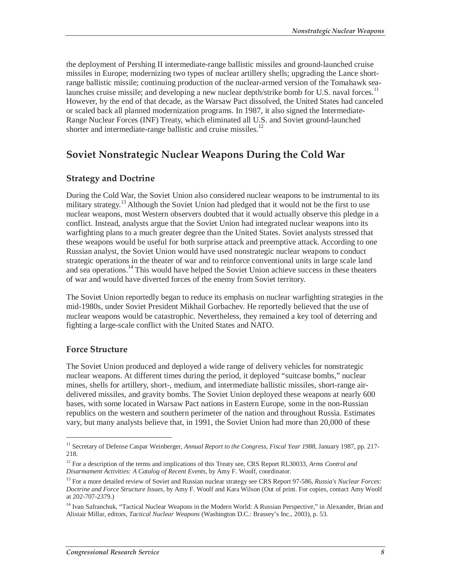the deployment of Pershing II intermediate-range ballistic missiles and ground-launched cruise missiles in Europe; modernizing two types of nuclear artillery shells; upgrading the Lance shortrange ballistic missile; continuing production of the nuclear-armed version of the Tomahawk sealaunches cruise missile; and developing a new nuclear depth/strike bomb for U.S. naval forces.<sup>11</sup> However, by the end of that decade, as the Warsaw Pact dissolved, the United States had canceled or scaled back all planned modernization programs. In 1987, it also signed the Intermediate-Range Nuclear Forces (INF) Treaty, which eliminated all U.S. and Soviet ground-launched shorter and intermediate-range ballistic and cruise missiles. $12$ 

# **Soviet Nonstrategic Nuclear Weapons During the Cold War**

### **Strategy and Doctrine**

During the Cold War, the Soviet Union also considered nuclear weapons to be instrumental to its military strategy.<sup>13</sup> Although the Soviet Union had pledged that it would not be the first to use nuclear weapons, most Western observers doubted that it would actually observe this pledge in a conflict. Instead, analysts argue that the Soviet Union had integrated nuclear weapons into its warfighting plans to a much greater degree than the United States. Soviet analysts stressed that these weapons would be useful for both surprise attack and preemptive attack. According to one Russian analyst, the Soviet Union would have used nonstrategic nuclear weapons to conduct strategic operations in the theater of war and to reinforce conventional units in large scale land and sea operations.<sup>14</sup> This would have helped the Soviet Union achieve success in these theaters of war and would have diverted forces of the enemy from Soviet territory.

The Soviet Union reportedly began to reduce its emphasis on nuclear warfighting strategies in the mid-1980s, under Soviet President Mikhail Gorbachev. He reportedly believed that the use of nuclear weapons would be catastrophic. Nevertheless, they remained a key tool of deterring and fighting a large-scale conflict with the United States and NATO.

#### **Force Structure**

-

The Soviet Union produced and deployed a wide range of delivery vehicles for nonstrategic nuclear weapons. At different times during the period, it deployed "suitcase bombs," nuclear mines, shells for artillery, short-, medium, and intermediate ballistic missiles, short-range airdelivered missiles, and gravity bombs. The Soviet Union deployed these weapons at nearly 600 bases, with some located in Warsaw Pact nations in Eastern Europe, some in the non-Russian republics on the western and southern perimeter of the nation and throughout Russia. Estimates vary, but many analysts believe that, in 1991, the Soviet Union had more than 20,000 of these

<sup>&</sup>lt;sup>11</sup> Secretary of Defense Caspar Weinberger, *Annual Report to the Congress, Fiscal Year 1988*, January 1987, pp. 217-218.

<sup>&</sup>lt;sup>12</sup> For a description of the terms and implications of this Treaty see, CRS Report RL30033, Arms Control and *Disarmament Activities: A Catalog of Recent Events*, by Amy F. Woolf, coordinator.

<sup>13</sup> For a more detailed review of Soviet and Russian nuclear strategy see CRS Report 97-586, *Russia's Nuclear Forces: Doctrine and Force Structure Issues*, by Amy F. Woolf and Kara Wilson (Out of print. For copies, contact Amy Woolf at 202-707-2379.)

<sup>&</sup>lt;sup>14</sup> Ivan Safranchuk, "Tactical Nuclear Weapons in the Modern World: A Russian Perspective," in Alexander, Brian and Alistair Millar, editors, *Tactical Nuclear Weapons* (Washington D.C.: Brassey's Inc., 2003), p. 53.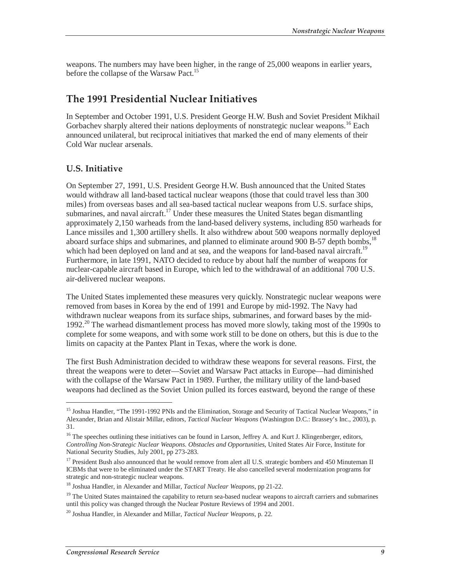weapons. The numbers may have been higher, in the range of 25,000 weapons in earlier years, before the collapse of the Warsaw Pact.<sup>15</sup>

# **The 1991 Presidential Nuclear Initiatives**

In September and October 1991, U.S. President George H.W. Bush and Soviet President Mikhail Gorbachev sharply altered their nations deployments of nonstrategic nuclear weapons.<sup>16</sup> Each announced unilateral, but reciprocal initiatives that marked the end of many elements of their Cold War nuclear arsenals.

## **U.S. Initiative**

-

On September 27, 1991, U.S. President George H.W. Bush announced that the United States would withdraw all land-based tactical nuclear weapons (those that could travel less than 300 miles) from overseas bases and all sea-based tactical nuclear weapons from U.S. surface ships, submarines, and naval aircraft.<sup>17</sup> Under these measures the United States began dismantling approximately 2,150 warheads from the land-based delivery systems, including 850 warheads for Lance missiles and 1,300 artillery shells. It also withdrew about 500 weapons normally deployed aboard surface ships and submarines, and planned to eliminate around  $900 B - 57$  depth bombs,<sup>18</sup> which had been deployed on land and at sea, and the weapons for land-based naval aircraft.<sup>19</sup> Furthermore, in late 1991, NATO decided to reduce by about half the number of weapons for nuclear-capable aircraft based in Europe, which led to the withdrawal of an additional 700 U.S. air-delivered nuclear weapons.

The United States implemented these measures very quickly. Nonstrategic nuclear weapons were removed from bases in Korea by the end of 1991 and Europe by mid-1992. The Navy had withdrawn nuclear weapons from its surface ships, submarines, and forward bases by the mid-1992.<sup>20</sup> The warhead dismantlement process has moved more slowly, taking most of the 1990s to complete for some weapons, and with some work still to be done on others, but this is due to the limits on capacity at the Pantex Plant in Texas, where the work is done.

The first Bush Administration decided to withdraw these weapons for several reasons. First, the threat the weapons were to deter—Soviet and Warsaw Pact attacks in Europe—had diminished with the collapse of the Warsaw Pact in 1989. Further, the military utility of the land-based weapons had declined as the Soviet Union pulled its forces eastward, beyond the range of these

<sup>&</sup>lt;sup>15</sup> Joshua Handler, "The 1991-1992 PNIs and the Elimination, Storage and Security of Tactical Nuclear Weapons," in Alexander, Brian and Alistair Millar, editors, *Tactical Nuclear Weapons* (Washington D.C.: Brassey's Inc., 2003), p. 31.

<sup>&</sup>lt;sup>16</sup> The speeches outlining these initiatives can be found in Larson, Jeffrey A. and Kurt J. Klingenberger, editors, *Controlling Non-Strategic Nuclear Weapons. Obstacles and Opportunities*, United States Air Force, Institute for National Security Studies, July 2001, pp 273-283.

<sup>&</sup>lt;sup>17</sup> President Bush also announced that he would remove from alert all U.S. strategic bombers and 450 Minuteman II ICBMs that were to be eliminated under the START Treaty. He also cancelled several modernization programs for strategic and non-strategic nuclear weapons.

<sup>18</sup> Joshua Handler, in Alexander and Millar, *Tactical Nuclear Weapons*, pp 21-22.

<sup>&</sup>lt;sup>19</sup> The United States maintained the capability to return sea-based nuclear weapons to aircraft carriers and submarines until this policy was changed through the Nuclear Posture Reviews of 1994 and 2001.

<sup>20</sup> Joshua Handler, in Alexander and Millar, *Tactical Nuclear Weapons*, p. 22.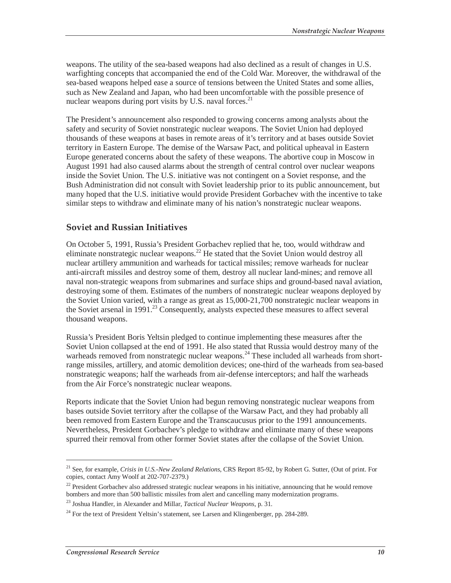weapons. The utility of the sea-based weapons had also declined as a result of changes in U.S. warfighting concepts that accompanied the end of the Cold War. Moreover, the withdrawal of the sea-based weapons helped ease a source of tensions between the United States and some allies, such as New Zealand and Japan, who had been uncomfortable with the possible presence of nuclear weapons during port visits by U.S. naval forces. $2<sup>1</sup>$ 

The President's announcement also responded to growing concerns among analysts about the safety and security of Soviet nonstrategic nuclear weapons. The Soviet Union had deployed thousands of these weapons at bases in remote areas of it's territory and at bases outside Soviet territory in Eastern Europe. The demise of the Warsaw Pact, and political upheaval in Eastern Europe generated concerns about the safety of these weapons. The abortive coup in Moscow in August 1991 had also caused alarms about the strength of central control over nuclear weapons inside the Soviet Union. The U.S. initiative was not contingent on a Soviet response, and the Bush Administration did not consult with Soviet leadership prior to its public announcement, but many hoped that the U.S. initiative would provide President Gorbachev with the incentive to take similar steps to withdraw and eliminate many of his nation's nonstrategic nuclear weapons.

### **Soviet and Russian Initiatives**

On October 5, 1991, Russia's President Gorbachev replied that he, too, would withdraw and eliminate nonstrategic nuclear weapons.<sup>22</sup> He stated that the Soviet Union would destroy all nuclear artillery ammunition and warheads for tactical missiles; remove warheads for nuclear anti-aircraft missiles and destroy some of them, destroy all nuclear land-mines; and remove all naval non-strategic weapons from submarines and surface ships and ground-based naval aviation, destroying some of them. Estimates of the numbers of nonstrategic nuclear weapons deployed by the Soviet Union varied, with a range as great as 15,000-21,700 nonstrategic nuclear weapons in the Soviet arsenal in 1991.<sup>23</sup> Consequently, analysts expected these measures to affect several thousand weapons.

Russia's President Boris Yeltsin pledged to continue implementing these measures after the Soviet Union collapsed at the end of 1991. He also stated that Russia would destroy many of the warheads removed from nonstrategic nuclear weapons.<sup>24</sup> These included all warheads from shortrange missiles, artillery, and atomic demolition devices; one-third of the warheads from sea-based nonstrategic weapons; half the warheads from air-defense interceptors; and half the warheads from the Air Force's nonstrategic nuclear weapons.

Reports indicate that the Soviet Union had begun removing nonstrategic nuclear weapons from bases outside Soviet territory after the collapse of the Warsaw Pact, and they had probably all been removed from Eastern Europe and the Transcaucusus prior to the 1991 announcements. Nevertheless, President Gorbachev's pledge to withdraw and eliminate many of these weapons spurred their removal from other former Soviet states after the collapse of the Soviet Union.

<sup>21</sup> See, for example, *Crisis in U.S.-New Zealand Relations*, CRS Report 85-92, by Robert G. Sutter, (Out of print. For copies, contact Amy Woolf at 202-707-2379.)

 $^{22}$  President Gorbachev also addressed strategic nuclear weapons in his initiative, announcing that he would remove bombers and more than 500 ballistic missiles from alert and cancelling many modernization programs.

<sup>23</sup> Joshua Handler, in Alexander and Millar, *Tactical Nuclear Weapons*, p. 31.

 $^{24}$  For the text of President Yeltsin's statement, see Larsen and Klingenberger, pp. 284-289.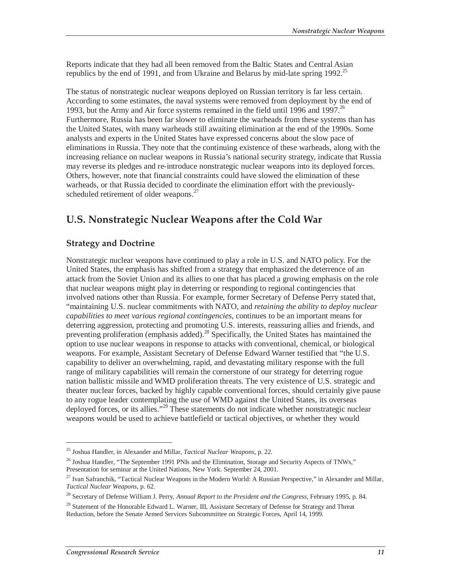Reports indicate that they had all been removed from the Baltic States and Central Asian republics by the end of 1991, and from Ukraine and Belarus by mid-late spring 1992.<sup>25</sup>

The status of nonstrategic nuclear weapons deployed on Russian territory is far less certain. According to some estimates, the naval systems were removed from deployment by the end of 1993, but the Army and Air force systems remained in the field until 1996 and 1997.<sup>26</sup> Furthermore, Russia has been far slower to eliminate the warheads from these systems than has the United States, with many warheads still awaiting elimination at the end of the 1990s. Some analysts and experts in the United States have expressed concerns about the slow pace of eliminations in Russia. They note that the continuing existence of these warheads, along with the increasing reliance on nuclear weapons in Russia's national security strategy, indicate that Russia may reverse its pledges and re-introduce nonstrategic nuclear weapons into its deployed forces. Others, however, note that financial constraints could have slowed the elimination of these warheads, or that Russia decided to coordinate the elimination effort with the previouslyscheduled retirement of older weapons.<sup>27</sup>

# **U.S. Nonstrategic Nuclear Weapons after the Cold War**

### **Strategy and Doctrine**

Nonstrategic nuclear weapons have continued to play a role in U.S. and NATO policy. For the United States, the emphasis has shifted from a strategy that emphasized the deterrence of an attack from the Soviet Union and its allies to one that has placed a growing emphasis on the role that nuclear weapons might play in deterring or responding to regional contingencies that involved nations other than Russia. For example, former Secretary of Defense Perry stated that, "maintaining U.S. nuclear commitments with NATO, and *retaining the ability to deploy nuclear capabilities to meet various regional contingencies*, continues to be an important means for deterring aggression, protecting and promoting U.S. interests, reassuring allies and friends, and preventing proliferation (emphasis added).<sup>28</sup> Specifically, the United States has maintained the option to use nuclear weapons in response to attacks with conventional, chemical, or biological weapons. For example, Assistant Secretary of Defense Edward Warner testified that "the U.S. capability to deliver an overwhelming, rapid, and devastating military response with the full range of military capabilities will remain the cornerstone of our strategy for deterring rogue nation ballistic missile and WMD proliferation threats. The very existence of U.S. strategic and theater nuclear forces, backed by highly capable conventional forces, should certainly give pause to any rogue leader contemplating the use of WMD against the United States, its overseas deployed forces, or its allies."<sup>29</sup> These statements do not indicate whether nonstrategic nuclear weapons would be used to achieve battlefield or tactical objectives, or whether they would

<sup>25</sup> Joshua Handler, in Alexander and Millar, *Tactical Nuclear Weapons*, p. 22.

<sup>&</sup>lt;sup>26</sup> Joshua Handler, "The September 1991 PNIs and the Elimination, Storage and Security Aspects of TNWs," Presentation for seminar at the United Nations, New York. September 24, 2001.

<sup>&</sup>lt;sup>27</sup> Ivan Safranchik, "Tactical Nuclear Weapons in the Modern World: A Russian Perspective," in Alexander and Millar, *Tactical Nuclear Weapons*, p. 62.

<sup>28</sup> Secretary of Defense William J. Perry, *Annual Report to the President and the Congress*, February 1995, p. 84.

<sup>&</sup>lt;sup>29</sup> Statement of the Honorable Edward L. Warner, III, Assistant Secretary of Defense for Strategy and Threat Reduction, before the Senate Armed Services Subcommittee on Strategic Forces, April 14, 1999.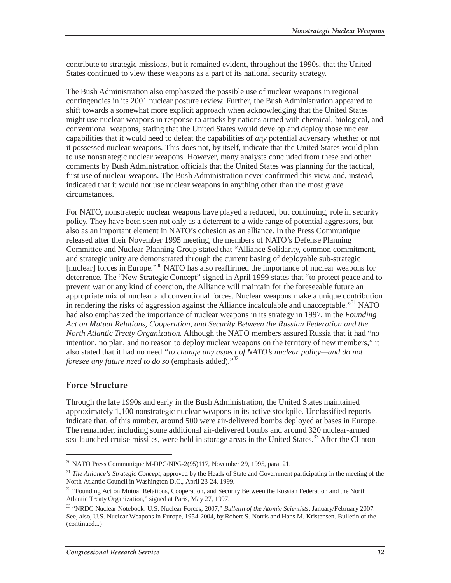contribute to strategic missions, but it remained evident, throughout the 1990s, that the United States continued to view these weapons as a part of its national security strategy.

The Bush Administration also emphasized the possible use of nuclear weapons in regional contingencies in its 2001 nuclear posture review. Further, the Bush Administration appeared to shift towards a somewhat more explicit approach when acknowledging that the United States might use nuclear weapons in response to attacks by nations armed with chemical, biological, and conventional weapons, stating that the United States would develop and deploy those nuclear capabilities that it would need to defeat the capabilities of *any* potential adversary whether or not it possessed nuclear weapons. This does not, by itself, indicate that the United States would plan to use nonstrategic nuclear weapons. However, many analysts concluded from these and other comments by Bush Administration officials that the United States was planning for the tactical, first use of nuclear weapons. The Bush Administration never confirmed this view, and, instead, indicated that it would not use nuclear weapons in anything other than the most grave circumstances.

For NATO, nonstrategic nuclear weapons have played a reduced, but continuing, role in security policy. They have been seen not only as a deterrent to a wide range of potential aggressors, but also as an important element in NATO's cohesion as an alliance. In the Press Communique released after their November 1995 meeting, the members of NATO's Defense Planning Committee and Nuclear Planning Group stated that "Alliance Solidarity, common commitment, and strategic unity are demonstrated through the current basing of deployable sub-strategic [nuclear] forces in Europe."<sup>30</sup> NATO has also reaffirmed the importance of nuclear weapons for deterrence. The "New Strategic Concept" signed in April 1999 states that "to protect peace and to prevent war or any kind of coercion, the Alliance will maintain for the foreseeable future an appropriate mix of nuclear and conventional forces. Nuclear weapons make a unique contribution in rendering the risks of aggression against the Alliance incalculable and unacceptable.<sup>31</sup> NATO had also emphasized the importance of nuclear weapons in its strategy in 1997, in the *Founding Act on Mutual Relations, Cooperation, and Security Between the Russian Federation and the North Atlantic Treaty Organization.* Although the NATO members assured Russia that it had "no intention, no plan, and no reason to deploy nuclear weapons on the territory of new members," it also stated that it had no need *"to change any aspect of NATO's nuclear policy—and do not foresee any future need to do so* (emphasis added)."<sup>32</sup>

#### **Force Structure**

<u>.</u>

Through the late 1990s and early in the Bush Administration, the United States maintained approximately 1,100 nonstrategic nuclear weapons in its active stockpile. Unclassified reports indicate that, of this number, around 500 were air-delivered bombs deployed at bases in Europe. The remainder, including some additional air-delivered bombs and around 320 nuclear-armed sea-launched cruise missiles, were held in storage areas in the United States.<sup>33</sup> After the Clinton

<sup>&</sup>lt;sup>30</sup> NATO Press Communique M-DPC/NPG-2(95)117, November 29, 1995, para. 21.

<sup>&</sup>lt;sup>31</sup> *The Alliance's Strategic Concept*, approved by the Heads of State and Government participating in the meeting of the North Atlantic Council in Washington D.C., April 23-24, 1999.

<sup>&</sup>lt;sup>32</sup> "Founding Act on Mutual Relations, Cooperation, and Security Between the Russian Federation and the North Atlantic Treaty Organization," signed at Paris, May 27, 1997.

<sup>33 &</sup>quot;NRDC Nuclear Notebook: U.S. Nuclear Forces, 2007," *Bulletin of the Atomic Scientists*, January/February 2007. See, also, U.S. Nuclear Weapons in Europe, 1954-2004, by Robert S. Norris and Hans M. Kristensen. Bulletin of the (continued...)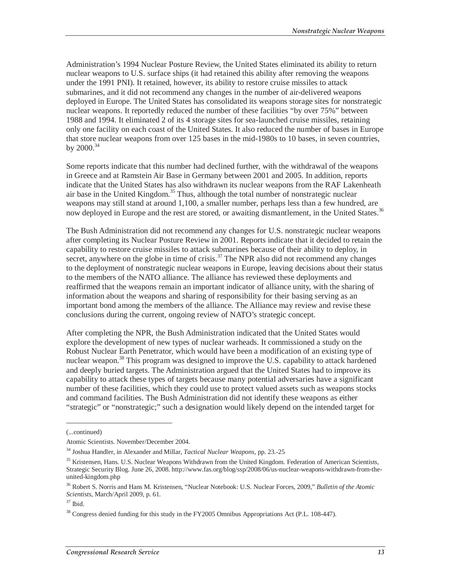Administration's 1994 Nuclear Posture Review, the United States eliminated its ability to return nuclear weapons to U.S. surface ships (it had retained this ability after removing the weapons under the 1991 PNI). It retained, however, its ability to restore cruise missiles to attack submarines, and it did not recommend any changes in the number of air-delivered weapons deployed in Europe. The United States has consolidated its weapons storage sites for nonstrategic nuclear weapons. It reportedly reduced the number of these facilities "by over 75%" between 1988 and 1994. It eliminated 2 of its 4 storage sites for sea-launched cruise missiles, retaining only one facility on each coast of the United States. It also reduced the number of bases in Europe that store nuclear weapons from over 125 bases in the mid-1980s to 10 bases, in seven countries, by  $2000^{34}$ 

Some reports indicate that this number had declined further, with the withdrawal of the weapons in Greece and at Ramstein Air Base in Germany between 2001 and 2005. In addition, reports indicate that the United States has also withdrawn its nuclear weapons from the RAF Lakenheath air base in the United Kingdom.<sup>35</sup> Thus, although the total number of nonstrategic nuclear weapons may still stand at around 1,100, a smaller number, perhaps less than a few hundred, are now deployed in Europe and the rest are stored, or awaiting dismantlement, in the United States.<sup>36</sup>

The Bush Administration did not recommend any changes for U.S. nonstrategic nuclear weapons after completing its Nuclear Posture Review in 2001. Reports indicate that it decided to retain the capability to restore cruise missiles to attack submarines because of their ability to deploy, in secret, anywhere on the globe in time of crisis. $37$  The NPR also did not recommend any changes to the deployment of nonstrategic nuclear weapons in Europe, leaving decisions about their status to the members of the NATO alliance. The alliance has reviewed these deployments and reaffirmed that the weapons remain an important indicator of alliance unity, with the sharing of information about the weapons and sharing of responsibility for their basing serving as an important bond among the members of the alliance. The Alliance may review and revise these conclusions during the current, ongoing review of NATO's strategic concept.

After completing the NPR, the Bush Administration indicated that the United States would explore the development of new types of nuclear warheads. It commissioned a study on the Robust Nuclear Earth Penetrator, which would have been a modification of an existing type of nuclear weapon.<sup>38</sup> This program was designed to improve the U.S. capability to attack hardened and deeply buried targets. The Administration argued that the United States had to improve its capability to attack these types of targets because many potential adversaries have a significant number of these facilities, which they could use to protect valued assets such as weapons stocks and command facilities. The Bush Administration did not identify these weapons as either "strategic" or "nonstrategic;" such a designation would likely depend on the intended target for

<sup>(...</sup>continued)

Atomic Scientists. November/December 2004.

<sup>34</sup> Joshua Handler, in Alexander and Millar, *Tactical Nuclear Weapons*, pp. 23.-25

<sup>&</sup>lt;sup>35</sup> Kristensen, Hans. U.S. Nuclear Weapons Withdrawn from the United Kingdom. Federation of American Scientists, Strategic Security Blog. June 26, 2008. http://www.fas.org/blog/ssp/2008/06/us-nuclear-weapons-withdrawn-from-theunited-kingdom.php

<sup>36</sup> Robert S. Norris and Hans M. Kristensen, "Nuclear Notebook: U.S. Nuclear Forces, 2009," *Bulletin of the Atomic Scientists*, March/April 2009, p. 61. 37 Ibid.

 $38$  Congress denied funding for this study in the FY2005 Omnibus Appropriations Act (P.L. 108-447).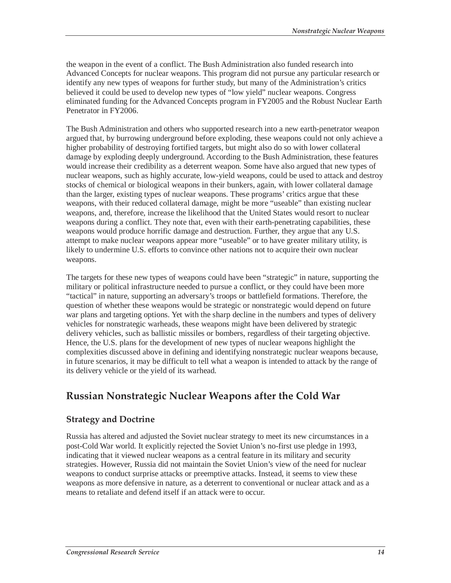the weapon in the event of a conflict. The Bush Administration also funded research into Advanced Concepts for nuclear weapons. This program did not pursue any particular research or identify any new types of weapons for further study, but many of the Administration's critics believed it could be used to develop new types of "low yield" nuclear weapons. Congress eliminated funding for the Advanced Concepts program in FY2005 and the Robust Nuclear Earth Penetrator in FY2006.

The Bush Administration and others who supported research into a new earth-penetrator weapon argued that, by burrowing underground before exploding, these weapons could not only achieve a higher probability of destroying fortified targets, but might also do so with lower collateral damage by exploding deeply underground. According to the Bush Administration, these features would increase their credibility as a deterrent weapon. Some have also argued that new types of nuclear weapons, such as highly accurate, low-yield weapons, could be used to attack and destroy stocks of chemical or biological weapons in their bunkers, again, with lower collateral damage than the larger, existing types of nuclear weapons. These programs' critics argue that these weapons, with their reduced collateral damage, might be more "useable" than existing nuclear weapons, and, therefore, increase the likelihood that the United States would resort to nuclear weapons during a conflict. They note that, even with their earth-penetrating capabilities, these weapons would produce horrific damage and destruction. Further, they argue that any U.S. attempt to make nuclear weapons appear more "useable" or to have greater military utility, is likely to undermine U.S. efforts to convince other nations not to acquire their own nuclear weapons.

The targets for these new types of weapons could have been "strategic" in nature, supporting the military or political infrastructure needed to pursue a conflict, or they could have been more "tactical" in nature, supporting an adversary's troops or battlefield formations. Therefore, the question of whether these weapons would be strategic or nonstrategic would depend on future war plans and targeting options. Yet with the sharp decline in the numbers and types of delivery vehicles for nonstrategic warheads, these weapons might have been delivered by strategic delivery vehicles, such as ballistic missiles or bombers, regardless of their targeting objective. Hence, the U.S. plans for the development of new types of nuclear weapons highlight the complexities discussed above in defining and identifying nonstrategic nuclear weapons because, in future scenarios, it may be difficult to tell what a weapon is intended to attack by the range of its delivery vehicle or the yield of its warhead.

# **Russian Nonstrategic Nuclear Weapons after the Cold War**

## **Strategy and Doctrine**

Russia has altered and adjusted the Soviet nuclear strategy to meet its new circumstances in a post-Cold War world. It explicitly rejected the Soviet Union's no-first use pledge in 1993, indicating that it viewed nuclear weapons as a central feature in its military and security strategies. However, Russia did not maintain the Soviet Union's view of the need for nuclear weapons to conduct surprise attacks or preemptive attacks. Instead, it seems to view these weapons as more defensive in nature, as a deterrent to conventional or nuclear attack and as a means to retaliate and defend itself if an attack were to occur.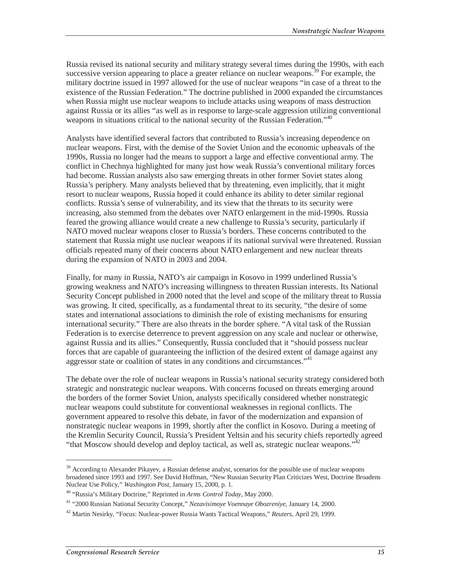Russia revised its national security and military strategy several times during the 1990s, with each successive version appearing to place a greater reliance on nuclear weapons.<sup>39</sup> For example, the military doctrine issued in 1997 allowed for the use of nuclear weapons "in case of a threat to the existence of the Russian Federation." The doctrine published in 2000 expanded the circumstances when Russia might use nuclear weapons to include attacks using weapons of mass destruction against Russia or its allies "as well as in response to large-scale aggression utilizing conventional weapons in situations critical to the national security of the Russian Federation."<sup>40</sup>

Analysts have identified several factors that contributed to Russia's increasing dependence on nuclear weapons. First, with the demise of the Soviet Union and the economic upheavals of the 1990s, Russia no longer had the means to support a large and effective conventional army. The conflict in Chechnya highlighted for many just how weak Russia's conventional military forces had become. Russian analysts also saw emerging threats in other former Soviet states along Russia's periphery. Many analysts believed that by threatening, even implicitly, that it might resort to nuclear weapons, Russia hoped it could enhance its ability to deter similar regional conflicts. Russia's sense of vulnerability, and its view that the threats to its security were increasing, also stemmed from the debates over NATO enlargement in the mid-1990s. Russia feared the growing alliance would create a new challenge to Russia's security, particularly if NATO moved nuclear weapons closer to Russia's borders. These concerns contributed to the statement that Russia might use nuclear weapons if its national survival were threatened. Russian officials repeated many of their concerns about NATO enlargement and new nuclear threats during the expansion of NATO in 2003 and 2004.

Finally, for many in Russia, NATO's air campaign in Kosovo in 1999 underlined Russia's growing weakness and NATO's increasing willingness to threaten Russian interests. Its National Security Concept published in 2000 noted that the level and scope of the military threat to Russia was growing. It cited, specifically, as a fundamental threat to its security, "the desire of some states and international associations to diminish the role of existing mechanisms for ensuring international security." There are also threats in the border sphere. "A vital task of the Russian Federation is to exercise deterrence to prevent aggression on any scale and nuclear or otherwise, against Russia and its allies." Consequently, Russia concluded that it "should possess nuclear forces that are capable of guaranteeing the infliction of the desired extent of damage against any aggressor state or coalition of states in any conditions and circumstances."<sup>41</sup>

The debate over the role of nuclear weapons in Russia's national security strategy considered both strategic and nonstrategic nuclear weapons. With concerns focused on threats emerging around the borders of the former Soviet Union, analysts specifically considered whether nonstrategic nuclear weapons could substitute for conventional weaknesses in regional conflicts. The government appeared to resolve this debate, in favor of the modernization and expansion of nonstrategic nuclear weapons in 1999, shortly after the conflict in Kosovo. During a meeting of the Kremlin Security Council, Russia's President Yeltsin and his security chiefs reportedly agreed "that Moscow should develop and deploy tactical, as well as, strategic nuclear weapons."<sup>4</sup>

<sup>&</sup>lt;sup>39</sup> According to Alexander Pikayev, a Russian defense analyst, scenarios for the possible use of nuclear weapons broadened since 1993 and 1997. See David Hoffman, "New Russian Security Plan Criticizes West, Doctrine Broadens Nuclear Use Policy," *Washington Post*, January 15, 2000, p. 1.

<sup>40 &</sup>quot;Russia's Military Doctrine," Reprinted in *Arms Control Today*, May 2000.

<sup>41 &</sup>quot;2000 Russian National Security Concept," *Nezavisimoye Voennaye Obozreniye*, January 14, 2000.

<sup>42</sup> Martin Nesirky, "Focus: Nuclear-power Russia Wants Tactical Weapons," *Reuters*, April 29, 1999.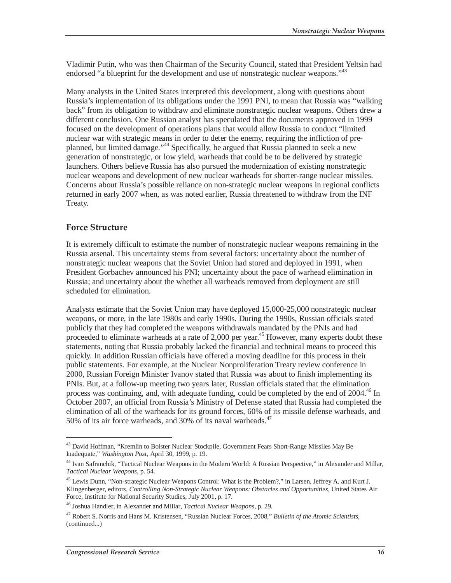Vladimir Putin, who was then Chairman of the Security Council, stated that President Yeltsin had endorsed "a blueprint for the development and use of nonstrategic nuclear weapons."<sup>43</sup>

Many analysts in the United States interpreted this development, along with questions about Russia's implementation of its obligations under the 1991 PNI, to mean that Russia was "walking back" from its obligation to withdraw and eliminate nonstrategic nuclear weapons. Others drew a different conclusion. One Russian analyst has speculated that the documents approved in 1999 focused on the development of operations plans that would allow Russia to conduct "limited nuclear war with strategic means in order to deter the enemy, requiring the infliction of preplanned, but limited damage."44 Specifically, he argued that Russia planned to seek a new generation of nonstrategic, or low yield, warheads that could be to be delivered by strategic launchers. Others believe Russia has also pursued the modernization of existing nonstrategic nuclear weapons and development of new nuclear warheads for shorter-range nuclear missiles. Concerns about Russia's possible reliance on non-strategic nuclear weapons in regional conflicts returned in early 2007 when, as was noted earlier, Russia threatened to withdraw from the INF Treaty.

#### **Force Structure**

It is extremely difficult to estimate the number of nonstrategic nuclear weapons remaining in the Russia arsenal. This uncertainty stems from several factors: uncertainty about the number of nonstrategic nuclear weapons that the Soviet Union had stored and deployed in 1991, when President Gorbachev announced his PNI; uncertainty about the pace of warhead elimination in Russia; and uncertainty about the whether all warheads removed from deployment are still scheduled for elimination.

Analysts estimate that the Soviet Union may have deployed 15,000-25,000 nonstrategic nuclear weapons, or more, in the late 1980s and early 1990s. During the 1990s, Russian officials stated publicly that they had completed the weapons withdrawals mandated by the PNIs and had proceeded to eliminate warheads at a rate of  $2,000$  per year.<sup>45</sup> However, many experts doubt these statements, noting that Russia probably lacked the financial and technical means to proceed this quickly. In addition Russian officials have offered a moving deadline for this process in their public statements. For example, at the Nuclear Nonproliferation Treaty review conference in 2000, Russian Foreign Minister Ivanov stated that Russia was about to finish implementing its PNIs. But, at a follow-up meeting two years later, Russian officials stated that the elimination process was continuing, and, with adequate funding, could be completed by the end of 2004.<sup>46</sup> In October 2007, an official from Russia's Ministry of Defense stated that Russia had completed the elimination of all of the warheads for its ground forces, 60% of its missile defense warheads, and 50% of its air force warheads, and 30% of its naval warheads. $47$ 

<sup>&</sup>lt;sup>43</sup> David Hoffman, "Kremlin to Bolster Nuclear Stockpile, Government Fears Short-Range Missiles May Be Inadequate," *Washington Post*, April 30, 1999, p. 19.

<sup>44</sup> Ivan Safranchik, "Tactical Nuclear Weapons in the Modern World: A Russian Perspective," in Alexander and Millar, *Tactical Nuclear Weapons*, p. 54.

<sup>&</sup>lt;sup>45</sup> Lewis Dunn, "Non-strategic Nuclear Weapons Control: What is the Problem?," in Larsen, Jeffrey A. and Kurt J. Klingenberger, editors, *Controlling Non-Strategic Nuclear Weapons: Obstacles and Opportunities*, United States Air Force, Institute for National Security Studies, July 2001, p. 17.

<sup>46</sup> Joshua Handler, in Alexander and Millar, *Tactical Nuclear Weapons*, p. 29.

<sup>47</sup> Robert S. Norris and Hans M. Kristensen, "Russian Nuclear Forces, 2008," *Bulletin of the Atomic Scientists*, (continued...)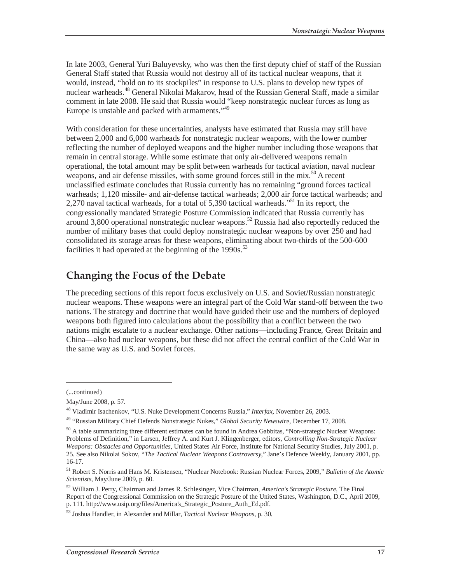In late 2003, General Yuri Baluyevsky, who was then the first deputy chief of staff of the Russian General Staff stated that Russia would not destroy all of its tactical nuclear weapons, that it would, instead, "hold on to its stockpiles" in response to U.S. plans to develop new types of nuclear warheads.48 General Nikolai Makarov, head of the Russian General Staff, made a similar comment in late 2008. He said that Russia would "keep nonstrategic nuclear forces as long as Europe is unstable and packed with armaments."<sup>49</sup>

With consideration for these uncertainties, analysts have estimated that Russia may still have between 2,000 and 6,000 warheads for nonstrategic nuclear weapons, with the lower number reflecting the number of deployed weapons and the higher number including those weapons that remain in central storage. While some estimate that only air-delivered weapons remain operational, the total amount may be split between warheads for tactical aviation, naval nuclear weapons, and air defense missiles, with some ground forces still in the mix.<sup>50</sup> A recent unclassified estimate concludes that Russia currently has no remaining "ground forces tactical warheads; 1,120 missile- and air-defense tactical warheads; 2,000 air force tactical warheads; and 2,270 naval tactical warheads, for a total of 5,390 tactical warheads."<sup>51</sup> In its report, the congressionally mandated Strategic Posture Commission indicated that Russia currently has around 3,800 operational nonstrategic nuclear weapons.52 Russia had also reportedly reduced the number of military bases that could deploy nonstrategic nuclear weapons by over 250 and had consolidated its storage areas for these weapons, eliminating about two-thirds of the 500-600 facilities it had operated at the beginning of the  $1990s$ .<sup>53</sup>

# **Changing the Focus of the Debate**

The preceding sections of this report focus exclusively on U.S. and Soviet/Russian nonstrategic nuclear weapons. These weapons were an integral part of the Cold War stand-off between the two nations. The strategy and doctrine that would have guided their use and the numbers of deployed weapons both figured into calculations about the possibility that a conflict between the two nations might escalate to a nuclear exchange. Other nations—including France, Great Britain and China—also had nuclear weapons, but these did not affect the central conflict of the Cold War in the same way as U.S. and Soviet forces.

<sup>(...</sup>continued)

May/June 2008, p. 57.

<sup>48</sup> Vladimir Isachenkov, "U.S. Nuke Development Concerns Russia," *Interfax*, November 26, 2003.

<sup>49 &</sup>quot;Russian Military Chief Defends Nonstrategic Nukes," *Global Security Newswire*, December 17, 2008.

 $50$  A table summarizing three different estimates can be found in Andrea Gabbitas, "Non-strategic Nuclear Weapons: Problems of Definition," in Larsen, Jeffrey A. and Kurt J. Klingenberger, editors, *Controlling Non-Strategic Nuclear Weapons: Obstacles and Opportunities*, United States Air Force, Institute for National Security Studies, July 2001, p. 25. See also Nikolai Sokov, "*The Tactical Nuclear Weapons Controversy*," Jane's Defence Weekly, January 2001, pp. 16-17.

<sup>51</sup> Robert S. Norris and Hans M. Kristensen, "Nuclear Notebook: Russian Nuclear Forces, 2009," *Bulletin of the Atomic Scientists*, May/June 2009, p. 60.

<sup>52</sup> William J. Perry, Chairman and James R. Schlesinger, Vice Chairman, *America's Strategic Posture*, The Final Report of the Congressional Commission on the Strategic Posture of the United States, Washington, D.C., April 2009, p. 111. http://www.usip.org/files/America's\_Strategic\_Posture\_Auth\_Ed.pdf.

<sup>53</sup> Joshua Handler, in Alexander and Millar, *Tactical Nuclear Weapons*, p. 30.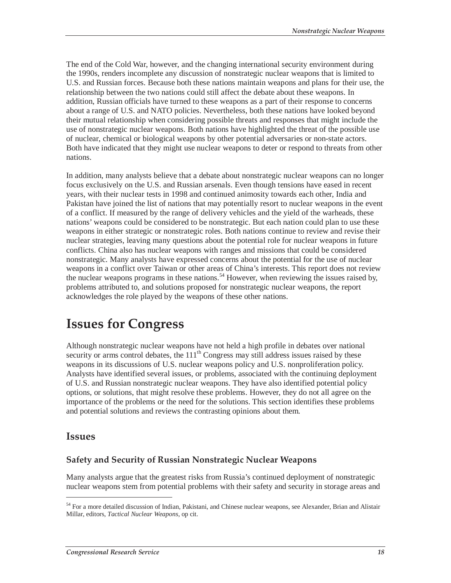The end of the Cold War, however, and the changing international security environment during the 1990s, renders incomplete any discussion of nonstrategic nuclear weapons that is limited to U.S. and Russian forces. Because both these nations maintain weapons and plans for their use, the relationship between the two nations could still affect the debate about these weapons. In addition, Russian officials have turned to these weapons as a part of their response to concerns about a range of U.S. and NATO policies. Nevertheless, both these nations have looked beyond their mutual relationship when considering possible threats and responses that might include the use of nonstrategic nuclear weapons. Both nations have highlighted the threat of the possible use of nuclear, chemical or biological weapons by other potential adversaries or non-state actors. Both have indicated that they might use nuclear weapons to deter or respond to threats from other nations.

In addition, many analysts believe that a debate about nonstrategic nuclear weapons can no longer focus exclusively on the U.S. and Russian arsenals. Even though tensions have eased in recent years, with their nuclear tests in 1998 and continued animosity towards each other, India and Pakistan have joined the list of nations that may potentially resort to nuclear weapons in the event of a conflict. If measured by the range of delivery vehicles and the yield of the warheads, these nations' weapons could be considered to be nonstrategic. But each nation could plan to use these weapons in either strategic or nonstrategic roles. Both nations continue to review and revise their nuclear strategies, leaving many questions about the potential role for nuclear weapons in future conflicts. China also has nuclear weapons with ranges and missions that could be considered nonstrategic. Many analysts have expressed concerns about the potential for the use of nuclear weapons in a conflict over Taiwan or other areas of China's interests. This report does not review the nuclear weapons programs in these nations.<sup>54</sup> However, when reviewing the issues raised by, problems attributed to, and solutions proposed for nonstrategic nuclear weapons, the report acknowledges the role played by the weapons of these other nations.

# **Issues for Congress**

Although nonstrategic nuclear weapons have not held a high profile in debates over national security or arms control debates, the  $111<sup>th</sup>$  Congress may still address issues raised by these weapons in its discussions of U.S. nuclear weapons policy and U.S. nonproliferation policy. Analysts have identified several issues, or problems, associated with the continuing deployment of U.S. and Russian nonstrategic nuclear weapons. They have also identified potential policy options, or solutions, that might resolve these problems. However, they do not all agree on the importance of the problems or the need for the solutions. This section identifies these problems and potential solutions and reviews the contrasting opinions about them.

## **Issues**

-

### **Safety and Security of Russian Nonstrategic Nuclear Weapons**

Many analysts argue that the greatest risks from Russia's continued deployment of nonstrategic nuclear weapons stem from potential problems with their safety and security in storage areas and

<sup>&</sup>lt;sup>54</sup> For a more detailed discussion of Indian, Pakistani, and Chinese nuclear weapons, see Alexander, Brian and Alistair Millar, editors, *Tactical Nuclear Weapons*, op cit.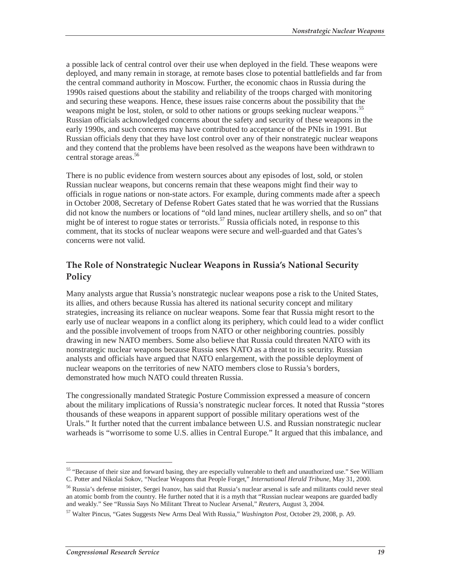a possible lack of central control over their use when deployed in the field. These weapons were deployed, and many remain in storage, at remote bases close to potential battlefields and far from the central command authority in Moscow. Further, the economic chaos in Russia during the 1990s raised questions about the stability and reliability of the troops charged with monitoring and securing these weapons. Hence, these issues raise concerns about the possibility that the weapons might be lost, stolen, or sold to other nations or groups seeking nuclear weapons.<sup>55</sup> Russian officials acknowledged concerns about the safety and security of these weapons in the early 1990s, and such concerns may have contributed to acceptance of the PNIs in 1991. But Russian officials deny that they have lost control over any of their nonstrategic nuclear weapons and they contend that the problems have been resolved as the weapons have been withdrawn to central storage areas.<sup>56</sup>

There is no public evidence from western sources about any episodes of lost, sold, or stolen Russian nuclear weapons, but concerns remain that these weapons might find their way to officials in rogue nations or non-state actors. For example, during comments made after a speech in October 2008, Secretary of Defense Robert Gates stated that he was worried that the Russians did not know the numbers or locations of "old land mines, nuclear artillery shells, and so on" that might be of interest to rogue states or terrorists.<sup>57</sup> Russia officials noted, in response to this comment, that its stocks of nuclear weapons were secure and well-guarded and that Gates's concerns were not valid.

### **The Role of Nonstrategic Nuclear Weapons in Russia's National Security Policy**

Many analysts argue that Russia's nonstrategic nuclear weapons pose a risk to the United States, its allies, and others because Russia has altered its national security concept and military strategies, increasing its reliance on nuclear weapons. Some fear that Russia might resort to the early use of nuclear weapons in a conflict along its periphery, which could lead to a wider conflict and the possible involvement of troops from NATO or other neighboring countries. possibly drawing in new NATO members. Some also believe that Russia could threaten NATO with its nonstrategic nuclear weapons because Russia sees NATO as a threat to its security. Russian analysts and officials have argued that NATO enlargement, with the possible deployment of nuclear weapons on the territories of new NATO members close to Russia's borders, demonstrated how much NATO could threaten Russia.

The congressionally mandated Strategic Posture Commission expressed a measure of concern about the military implications of Russia's nonstrategic nuclear forces. It noted that Russia "stores thousands of these weapons in apparent support of possible military operations west of the Urals." It further noted that the current imbalance between U.S. and Russian nonstrategic nuclear warheads is "worrisome to some U.S. allies in Central Europe." It argued that this imbalance, and

<sup>&</sup>lt;sup>55</sup> "Because of their size and forward basing, they are especially vulnerable to theft and unauthorized use." See William C. Potter and Nikolai Sokov, "Nuclear Weapons that People Forget," *International Herald Tribune*, May 31, 2000.

<sup>56</sup> Russia's defense minister, Sergei Ivanov, has said that Russia's nuclear arsenal is safe and militants could never steal an atomic bomb from the country. He further noted that it is a myth that "Russian nuclear weapons are guarded badly and weakly." See "Russia Says No Militant Threat to Nuclear Arsenal," *Reuters*, August 3, 2004.

<sup>57</sup> Walter Pincus, "Gates Suggests New Arms Deal With Russia," *Washington Post*, October 29, 2008, p. A9.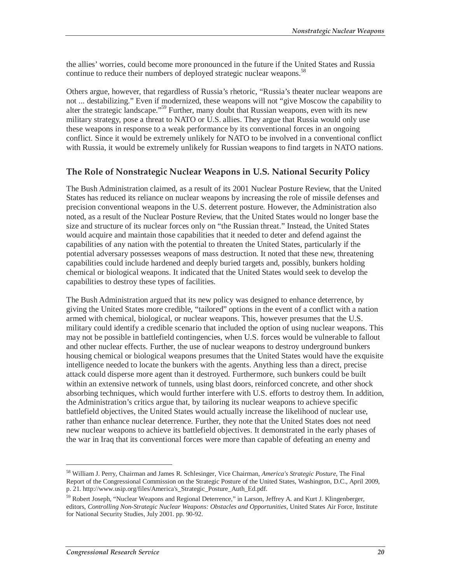the allies' worries, could become more pronounced in the future if the United States and Russia continue to reduce their numbers of deployed strategic nuclear weapons.<sup>58</sup>

Others argue, however, that regardless of Russia's rhetoric, "Russia's theater nuclear weapons are not ... destabilizing." Even if modernized, these weapons will not "give Moscow the capability to alter the strategic landscape."59 Further, many doubt that Russian weapons, even with its new military strategy, pose a threat to NATO or U.S. allies. They argue that Russia would only use these weapons in response to a weak performance by its conventional forces in an ongoing conflict. Since it would be extremely unlikely for NATO to be involved in a conventional conflict with Russia, it would be extremely unlikely for Russian weapons to find targets in NATO nations.

### **The Role of Nonstrategic Nuclear Weapons in U.S. National Security Policy**

The Bush Administration claimed, as a result of its 2001 Nuclear Posture Review, that the United States has reduced its reliance on nuclear weapons by increasing the role of missile defenses and precision conventional weapons in the U.S. deterrent posture. However, the Administration also noted, as a result of the Nuclear Posture Review, that the United States would no longer base the size and structure of its nuclear forces only on "the Russian threat." Instead, the United States would acquire and maintain those capabilities that it needed to deter and defend against the capabilities of any nation with the potential to threaten the United States, particularly if the potential adversary possesses weapons of mass destruction. It noted that these new, threatening capabilities could include hardened and deeply buried targets and, possibly, bunkers holding chemical or biological weapons. It indicated that the United States would seek to develop the capabilities to destroy these types of facilities.

The Bush Administration argued that its new policy was designed to enhance deterrence, by giving the United States more credible, "tailored" options in the event of a conflict with a nation armed with chemical, biological, or nuclear weapons. This, however presumes that the U.S. military could identify a credible scenario that included the option of using nuclear weapons. This may not be possible in battlefield contingencies, when U.S. forces would be vulnerable to fallout and other nuclear effects. Further, the use of nuclear weapons to destroy underground bunkers housing chemical or biological weapons presumes that the United States would have the exquisite intelligence needed to locate the bunkers with the agents. Anything less than a direct, precise attack could disperse more agent than it destroyed. Furthermore, such bunkers could be built within an extensive network of tunnels, using blast doors, reinforced concrete, and other shock absorbing techniques, which would further interfere with U.S. efforts to destroy them. In addition, the Administration's critics argue that, by tailoring its nuclear weapons to achieve specific battlefield objectives, the United States would actually increase the likelihood of nuclear use, rather than enhance nuclear deterrence. Further, they note that the United States does not need new nuclear weapons to achieve its battlefield objectives. It demonstrated in the early phases of the war in Iraq that its conventional forces were more than capable of defeating an enemy and

<sup>58</sup> William J. Perry, Chairman and James R. Schlesinger, Vice Chairman, *America's Strategic Posture*, The Final Report of the Congressional Commission on the Strategic Posture of the United States, Washington, D.C., April 2009, p. 21. http://www.usip.org/files/America's\_Strategic\_Posture\_Auth\_Ed.pdf.

<sup>&</sup>lt;sup>59</sup> Robert Joseph, "Nuclear Weapons and Regional Deterrence," in Larson, Jeffrey A. and Kurt J. Klingenberger, editors, *Controlling Non-Strategic Nuclear Weapons: Obstacles and Opportunities*, United States Air Force, Institute for National Security Studies, July 2001. pp. 90-92.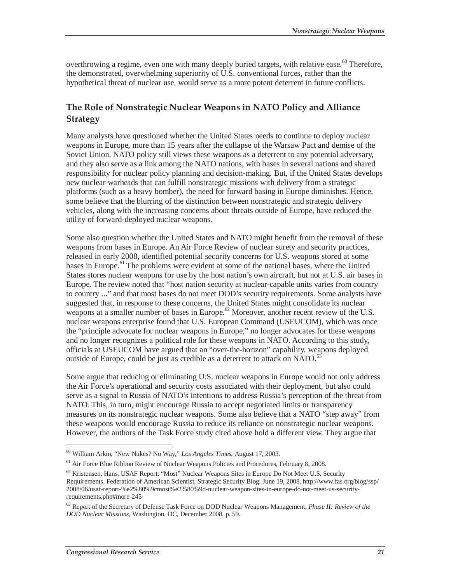overthrowing a regime, even one with many deeply buried targets, with relative ease.<sup>60</sup> Therefore, the demonstrated, overwhelming superiority of U.S. conventional forces, rather than the hypothetical threat of nuclear use, would serve as a more potent deterrent in future conflicts.

## **The Role of Nonstrategic Nuclear Weapons in NATO Policy and Alliance Strategy**

Many analysts have questioned whether the United States needs to continue to deploy nuclear weapons in Europe, more than 15 years after the collapse of the Warsaw Pact and demise of the Soviet Union. NATO policy still views these weapons as a deterrent to any potential adversary, and they also serve as a link among the NATO nations, with bases in several nations and shared responsibility for nuclear policy planning and decision-making. But, if the United States develops new nuclear warheads that can fulfill nonstrategic missions with delivery from a strategic platforms (such as a heavy bomber), the need for forward basing in Europe diminishes. Hence, some believe that the blurring of the distinction between nonstrategic and strategic delivery vehicles, along with the increasing concerns about threats outside of Europe, have reduced the utility of forward-deployed nuclear weapons.

Some also question whether the United States and NATO might benefit from the removal of these weapons from bases in Europe. An Air Force Review of nuclear surety and security practices, released in early 2008, identified potential security concerns for U.S. weapons stored at some bases in Europe.<sup>61</sup> The problems were evident at some of the national bases, where the United States stores nuclear weapons for use by the host nation's own aircraft, but not at U.S. air bases in Europe. The review noted that "host nation security at nuclear-capable units varies from country to country ..." and that most bases do not meet DOD's security requirements. Some analysts have suggested that, in response to these concerns, the United States might consolidate its nuclear weapons at a smaller number of bases in Europe.<sup>62</sup> Moreover, another recent review of the U.S. nuclear weapons enterprise found that U.S. European Command (USEUCOM), which was once the "principle advocate for nuclear weapons in Europe," no longer advocates for these weapons and no longer recognizes a political role for these weapons in NATO. According to this study, officials at USEUCOM have argued that an "over-the-horizon" capability, weapons deployed outside of Europe, could be just as credible as a deterrent to attack on NATO.<sup>63</sup>

Some argue that reducing or eliminating U.S. nuclear weapons in Europe would not only address the Air Force's operational and security costs associated with their deployment, but also could serve as a signal to Russia of NATO's intentions to address Russia's perception of the threat from NATO. This, in turn, might encourage Russia to accept negotiated limits or transparency measures on its nonstrategic nuclear weapons. Some also believe that a NATO "step away" from these weapons would encourage Russia to reduce its reliance on nonstrategic nuclear weapons. However, the authors of the Task Force study cited above hold a different view. They argue that

<sup>60</sup> William Arkin, "New Nukes? No Way," *Los Angeles Times*, August 17, 2003.

 $<sup>61</sup>$  Air Force Blue Ribbon Review of Nuclear Weapons Policies and Procedures, February 8, 2008.</sup>

<sup>&</sup>lt;sup>62</sup> Kristensen, Hans. USAF Report: "Most" Nuclear Weapons Sites in Europe Do Not Meet U.S. Security Requirements. Federation of American Scientist, Strategic Security Blog. June 19, 2008. http://www.fas.org/blog/ssp/ 2008/06/usaf-report-%e2%80%9cmost%e2%80%9d-nuclear-weapon-sites-in-europe-do-not-meet-us-securityrequirements.php#more-245

<sup>63</sup> Report of the Secretary of Defense Task Force on DOD Nuclear Weapons Management, *Phase II: Review of the DOD Nuclear Missions*, Washington, DC, December 2008, p. 59.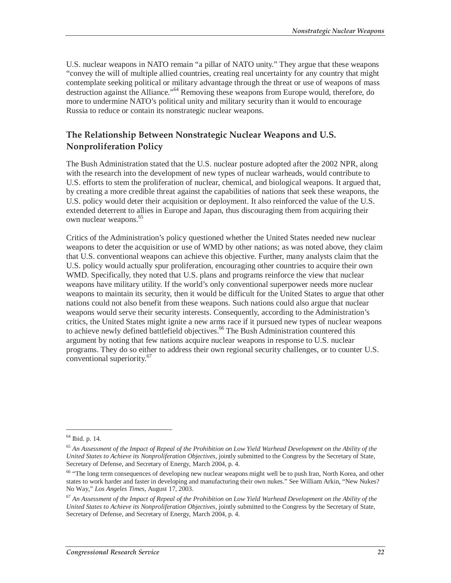U.S. nuclear weapons in NATO remain "a pillar of NATO unity." They argue that these weapons "convey the will of multiple allied countries, creating real uncertainty for any country that might contemplate seeking political or military advantage through the threat or use of weapons of mass destruction against the Alliance."64 Removing these weapons from Europe would, therefore, do more to undermine NATO's political unity and military security than it would to encourage Russia to reduce or contain its nonstrategic nuclear weapons.

## **The Relationship Between Nonstrategic Nuclear Weapons and U.S. Nonproliferation Policy**

The Bush Administration stated that the U.S. nuclear posture adopted after the 2002 NPR, along with the research into the development of new types of nuclear warheads, would contribute to U.S. efforts to stem the proliferation of nuclear, chemical, and biological weapons. It argued that, by creating a more credible threat against the capabilities of nations that seek these weapons, the U.S. policy would deter their acquisition or deployment. It also reinforced the value of the U.S. extended deterrent to allies in Europe and Japan, thus discouraging them from acquiring their own nuclear weapons.<sup>65</sup>

Critics of the Administration's policy questioned whether the United States needed new nuclear weapons to deter the acquisition or use of WMD by other nations; as was noted above, they claim that U.S. conventional weapons can achieve this objective. Further, many analysts claim that the U.S. policy would actually spur proliferation, encouraging other countries to acquire their own WMD. Specifically, they noted that U.S. plans and programs reinforce the view that nuclear weapons have military utility. If the world's only conventional superpower needs more nuclear weapons to maintain its security, then it would be difficult for the United States to argue that other nations could not also benefit from these weapons. Such nations could also argue that nuclear weapons would serve their security interests. Consequently, according to the Administration's critics, the United States might ignite a new arms race if it pursued new types of nuclear weapons to achieve newly defined battlefield objectives.<sup>66</sup> The Bush Administration countered this argument by noting that few nations acquire nuclear weapons in response to U.S. nuclear programs. They do so either to address their own regional security challenges, or to counter U.S. conventional superiority.<sup>67</sup>

<sup>64</sup> Ibid. p. 14.

<sup>65</sup> *An Assessment of the Impact of Repeal of the Prohibition on Low Yield Warhead Development on the Ability of the United States to Achieve its Nonproliferation Objectives*, jointly submitted to the Congress by the Secretary of State, Secretary of Defense, and Secretary of Energy, March 2004, p. 4.

<sup>&</sup>lt;sup>66</sup> "The long term consequences of developing new nuclear weapons might well be to push Iran, North Korea, and other states to work harder and faster in developing and manufacturing their own nukes." See William Arkin, "New Nukes? No Way," *Los Angeles Times*, August 17, 2003.

<sup>67</sup> *An Assessment of the Impact of Repeal of the Prohibition on Low Yield Warhead Development on the Ability of the United States to Achieve its Nonproliferation Objectives*, jointly submitted to the Congress by the Secretary of State, Secretary of Defense, and Secretary of Energy, March 2004, p. 4.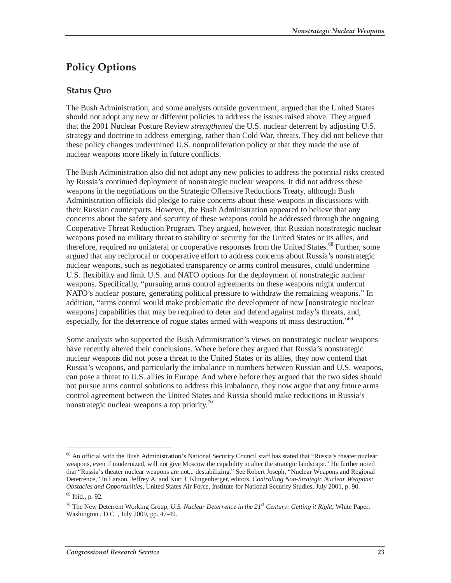# **Policy Options**

## **Status Quo**

The Bush Administration, and some analysts outside government, argued that the United States should not adopt any new or different policies to address the issues raised above. They argued that the 2001 Nuclear Posture Review *strengthened* the U.S. nuclear deterrent by adjusting U.S. strategy and doctrine to address emerging, rather than Cold War, threats. They did not believe that these policy changes undermined U.S. nonproliferation policy or that they made the use of nuclear weapons more likely in future conflicts.

The Bush Administration also did not adopt any new policies to address the potential risks created by Russia's continued deployment of nonstrategic nuclear weapons. It did not address these weapons in the negotiations on the Strategic Offensive Reductions Treaty, although Bush Administration officials did pledge to raise concerns about these weapons in discussions with their Russian counterparts. However, the Bush Administration appeared to believe that any concerns about the safety and security of these weapons could be addressed through the ongoing Cooperative Threat Reduction Program. They argued, however, that Russian nonstrategic nuclear weapons posed no military threat to stability or security for the United States or its allies, and therefore, required no unilateral or cooperative responses from the United States.<sup>68</sup> Further, some argued that any reciprocal or cooperative effort to address concerns about Russia's nonstrategic nuclear weapons, such as negotiated transparency or arms control measures, could undermine U.S. flexibility and limit U.S. and NATO options for the deployment of nonstrategic nuclear weapons. Specifically, "pursuing arms control agreements on these weapons might undercut NATO's nuclear posture, generating political pressure to withdraw the remaining weapons." In addition, "arms control would make problematic the development of new [nonstrategic nuclear weapons] capabilities that may be required to deter and defend against today's threats, and, especially, for the deterrence of rogue states armed with weapons of mass destruction."<sup>69</sup>

Some analysts who supported the Bush Administration's views on nonstrategic nuclear weapons have recently altered their conclusions. Where before they argued that Russia's nonstrategic nuclear weapons did not pose a threat to the United States or its allies, they now contend that Russia's weapons, and particularly the imbalance in numbers between Russian and U.S. weapons, can pose a threat to U.S. allies in Europe. And where before they argued that the two sides should not pursue arms control solutions to address this imbalance, they now argue that any future arms control agreement between the United States and Russia should make reductions in Russia's nonstrategic nuclear weapons a top priority.<sup>70</sup>

<sup>68</sup> An official with the Bush Administration's National Security Council staff has stated that "Russia's theater nuclear weapons, even if modernized, will not give Moscow the capability to alter the strategic landscape." He further noted that "Russia's theater nuclear weapons are not... destabilizing." See Robert Joseph, "Nuclear Weapons and Regional Deterrence," In Larson, Jeffrey A. and Kurt J. Klingenberger, editors, *Controlling Non-Strategic Nuclear Weapons: Obstacles and Opportunities*, United States Air Force, Institute for National Security Studies, July 2001, p. 90.

<sup>69</sup> Ibid., p. 92.

<sup>70</sup> The New Deterrent Working Group, *U.S. Nuclear Deterrence in the 21st Century: Getting it Right*, White Paper, Washington , D.C. , July 2009, pp. 47-49.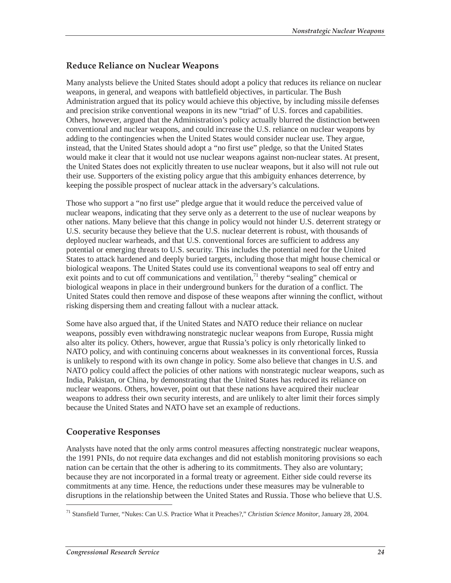## **Reduce Reliance on Nuclear Weapons**

Many analysts believe the United States should adopt a policy that reduces its reliance on nuclear weapons, in general, and weapons with battlefield objectives, in particular. The Bush Administration argued that its policy would achieve this objective, by including missile defenses and precision strike conventional weapons in its new "triad" of U.S. forces and capabilities. Others, however, argued that the Administration's policy actually blurred the distinction between conventional and nuclear weapons, and could increase the U.S. reliance on nuclear weapons by adding to the contingencies when the United States would consider nuclear use. They argue, instead, that the United States should adopt a "no first use" pledge, so that the United States would make it clear that it would not use nuclear weapons against non-nuclear states. At present, the United States does not explicitly threaten to use nuclear weapons, but it also will not rule out their use. Supporters of the existing policy argue that this ambiguity enhances deterrence, by keeping the possible prospect of nuclear attack in the adversary's calculations.

Those who support a "no first use" pledge argue that it would reduce the perceived value of nuclear weapons, indicating that they serve only as a deterrent to the use of nuclear weapons by other nations. Many believe that this change in policy would not hinder U.S. deterrent strategy or U.S. security because they believe that the U.S. nuclear deterrent is robust, with thousands of deployed nuclear warheads, and that U.S. conventional forces are sufficient to address any potential or emerging threats to U.S. security. This includes the potential need for the United States to attack hardened and deeply buried targets, including those that might house chemical or biological weapons. The United States could use its conventional weapons to seal off entry and exit points and to cut off communications and ventilation, $\frac{1}{1}$  thereby "sealing" chemical or biological weapons in place in their underground bunkers for the duration of a conflict. The United States could then remove and dispose of these weapons after winning the conflict, without risking dispersing them and creating fallout with a nuclear attack.

Some have also argued that, if the United States and NATO reduce their reliance on nuclear weapons, possibly even withdrawing nonstrategic nuclear weapons from Europe, Russia might also alter its policy. Others, however, argue that Russia's policy is only rhetorically linked to NATO policy, and with continuing concerns about weaknesses in its conventional forces, Russia is unlikely to respond with its own change in policy. Some also believe that changes in U.S. and NATO policy could affect the policies of other nations with nonstrategic nuclear weapons, such as India, Pakistan, or China, by demonstrating that the United States has reduced its reliance on nuclear weapons. Others, however, point out that these nations have acquired their nuclear weapons to address their own security interests, and are unlikely to alter limit their forces simply because the United States and NATO have set an example of reductions.

# **Cooperative Responses**

Analysts have noted that the only arms control measures affecting nonstrategic nuclear weapons, the 1991 PNIs, do not require data exchanges and did not establish monitoring provisions so each nation can be certain that the other is adhering to its commitments. They also are voluntary; because they are not incorporated in a formal treaty or agreement. Either side could reverse its commitments at any time. Hence, the reductions under these measures may be vulnerable to disruptions in the relationship between the United States and Russia. Those who believe that U.S.

<sup>71</sup> Stansfield Turner, "Nukes: Can U.S. Practice What it Preaches?," *Christian Science Monitor*, January 28, 2004.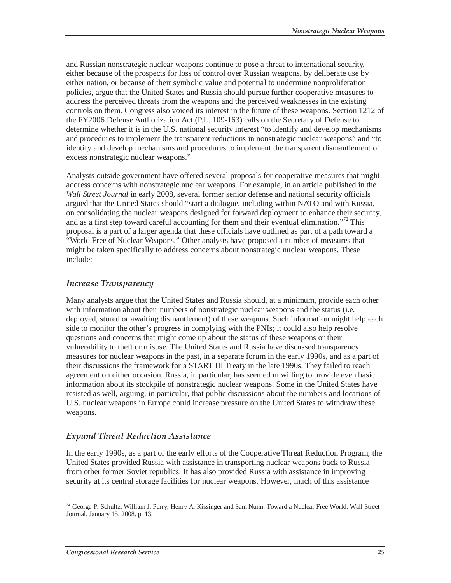and Russian nonstrategic nuclear weapons continue to pose a threat to international security, either because of the prospects for loss of control over Russian weapons, by deliberate use by either nation, or because of their symbolic value and potential to undermine nonproliferation policies, argue that the United States and Russia should pursue further cooperative measures to address the perceived threats from the weapons and the perceived weaknesses in the existing controls on them. Congress also voiced its interest in the future of these weapons. Section 1212 of the FY2006 Defense Authorization Act (P.L. 109-163) calls on the Secretary of Defense to determine whether it is in the U.S. national security interest "to identify and develop mechanisms and procedures to implement the transparent reductions in nonstrategic nuclear weapons" and "to identify and develop mechanisms and procedures to implement the transparent dismantlement of excess nonstrategic nuclear weapons."

Analysts outside government have offered several proposals for cooperative measures that might address concerns with nonstrategic nuclear weapons. For example, in an article published in the *Wall Street Journal* in early 2008, several former senior defense and national security officials argued that the United States should "start a dialogue, including within NATO and with Russia, on consolidating the nuclear weapons designed for forward deployment to enhance their security, and as a first step toward careful accounting for them and their eventual elimination."<sup>72</sup> This proposal is a part of a larger agenda that these officials have outlined as part of a path toward a "World Free of Nuclear Weapons." Other analysts have proposed a number of measures that might be taken specifically to address concerns about nonstrategic nuclear weapons. These include:

## *Increase Transparency*

Many analysts argue that the United States and Russia should, at a minimum, provide each other with information about their numbers of nonstrategic nuclear weapons and the status (i.e. deployed, stored or awaiting dismantlement) of these weapons. Such information might help each side to monitor the other's progress in complying with the PNIs; it could also help resolve questions and concerns that might come up about the status of these weapons or their vulnerability to theft or misuse. The United States and Russia have discussed transparency measures for nuclear weapons in the past, in a separate forum in the early 1990s, and as a part of their discussions the framework for a START III Treaty in the late 1990s. They failed to reach agreement on either occasion. Russia, in particular, has seemed unwilling to provide even basic information about its stockpile of nonstrategic nuclear weapons. Some in the United States have resisted as well, arguing, in particular, that public discussions about the numbers and locations of U.S. nuclear weapons in Europe could increase pressure on the United States to withdraw these weapons.

## *Expand Threat Reduction Assistance*

In the early 1990s, as a part of the early efforts of the Cooperative Threat Reduction Program, the United States provided Russia with assistance in transporting nuclear weapons back to Russia from other former Soviet republics. It has also provided Russia with assistance in improving security at its central storage facilities for nuclear weapons. However, much of this assistance

<sup>72</sup> George P. Schultz, William J. Perry, Henry A. Kissinger and Sam Nunn. Toward a Nuclear Free World. Wall Street Journal. January 15, 2008. p. 13.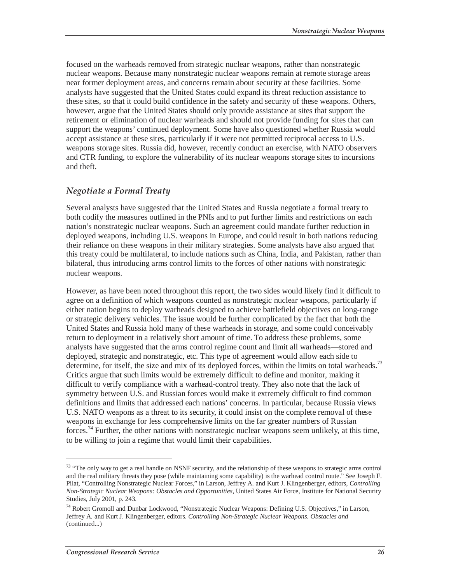focused on the warheads removed from strategic nuclear weapons, rather than nonstrategic nuclear weapons. Because many nonstrategic nuclear weapons remain at remote storage areas near former deployment areas, and concerns remain about security at these facilities. Some analysts have suggested that the United States could expand its threat reduction assistance to these sites, so that it could build confidence in the safety and security of these weapons. Others, however, argue that the United States should only provide assistance at sites that support the retirement or elimination of nuclear warheads and should not provide funding for sites that can support the weapons' continued deployment. Some have also questioned whether Russia would accept assistance at these sites, particularly if it were not permitted reciprocal access to U.S. weapons storage sites. Russia did, however, recently conduct an exercise, with NATO observers and CTR funding, to explore the vulnerability of its nuclear weapons storage sites to incursions and theft.

### *Negotiate a Formal Treaty*

Several analysts have suggested that the United States and Russia negotiate a formal treaty to both codify the measures outlined in the PNIs and to put further limits and restrictions on each nation's nonstrategic nuclear weapons. Such an agreement could mandate further reduction in deployed weapons, including U.S. weapons in Europe, and could result in both nations reducing their reliance on these weapons in their military strategies. Some analysts have also argued that this treaty could be multilateral, to include nations such as China, India, and Pakistan, rather than bilateral, thus introducing arms control limits to the forces of other nations with nonstrategic nuclear weapons.

However, as have been noted throughout this report, the two sides would likely find it difficult to agree on a definition of which weapons counted as nonstrategic nuclear weapons, particularly if either nation begins to deploy warheads designed to achieve battlefield objectives on long-range or strategic delivery vehicles. The issue would be further complicated by the fact that both the United States and Russia hold many of these warheads in storage, and some could conceivably return to deployment in a relatively short amount of time. To address these problems, some analysts have suggested that the arms control regime count and limit all warheads—stored and deployed, strategic and nonstrategic, etc. This type of agreement would allow each side to determine, for itself, the size and mix of its deployed forces, within the limits on total warheads.<sup>73</sup> Critics argue that such limits would be extremely difficult to define and monitor, making it difficult to verify compliance with a warhead-control treaty. They also note that the lack of symmetry between U.S. and Russian forces would make it extremely difficult to find common definitions and limits that addressed each nations' concerns. In particular, because Russia views U.S. NATO weapons as a threat to its security, it could insist on the complete removal of these weapons in exchange for less comprehensive limits on the far greater numbers of Russian forces.<sup>74</sup> Further, the other nations with nonstrategic nuclear weapons seem unlikely, at this time, to be willing to join a regime that would limit their capabilities.

<sup>&</sup>lt;sup>73</sup> "The only way to get a real handle on NSNF security, and the relationship of these weapons to strategic arms control and the real military threats they pose (while maintaining some capability) is the warhead control route." See Joseph F. Pilat, "Controlling Nonstrategic Nuclear Forces," in Larson, Jeffrey A. and Kurt J. Klingenberger, editors, *Controlling Non-Strategic Nuclear Weapons: Obstacles and Opportunities*, United States Air Force, Institute for National Security Studies, July 2001, p. 243.

<sup>74</sup> Robert Gromoll and Dunbar Lockwood, "Nonstrategic Nuclear Weapons: Defining U.S. Objectives," in Larson, Jeffrey A. and Kurt J. Klingenberger, editors. *Controlling Non-Strategic Nuclear Weapons. Obstacles and*  (continued...)